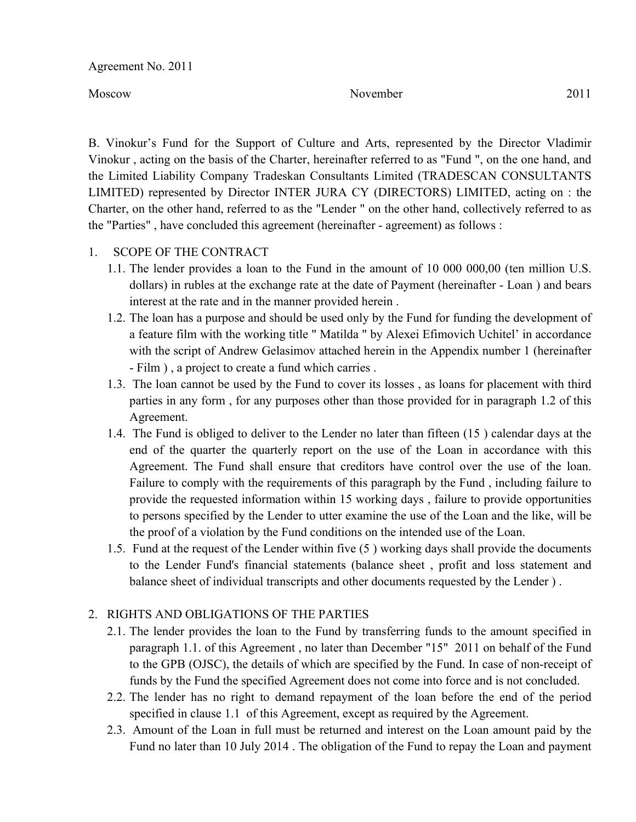Agreement No. 2011

Moscow November 2011

B. Vinokur's Fund for the Support of Culture and Arts, represented by the Director Vladimir Vinokur , acting on the basis of the Charter, hereinafter referred to as "Fund ", on the one hand, and the Limited Liability Company Tradeskan Consultants Limited (TRADESCAN CONSULTANTS LIMITED) represented by Director INTER JURA CY (DIRECTORS) LIMITED, acting on : the Charter, on the other hand, referred to as the "Lender " on the other hand, collectively referred to as the "Parties" , have concluded this agreement (hereinafter - agreement) as follows :

# 1. SCOPE OF THE CONTRACT

- 1.1. The lender provides a loan to the Fund in the amount of 10 000 000,00 (ten million U.S. dollars) in rubles at the exchange rate at the date of Payment (hereinafter - Loan ) and bears interest at the rate and in the manner provided herein .
- 1.2. The loan has a purpose and should be used only by the Fund for funding the development of a feature film with the working title " Matilda " by Alexei Efimovich Uchitel' in accordance with the script of Andrew Gelasimov attached herein in the Appendix number 1 (hereinafter - Film ) , a project to create a fund which carries .
- 1.3. The loan cannot be used by the Fund to cover its losses , as loans for placement with third parties in any form , for any purposes other than those provided for in paragraph 1.2 of this Agreement.
- 1.4. The Fund is obliged to deliver to the Lender no later than fifteen (15 ) calendar days at the end of the quarter the quarterly report on the use of the Loan in accordance with this Agreement. The Fund shall ensure that creditors have control over the use of the loan. Failure to comply with the requirements of this paragraph by the Fund , including failure to provide the requested information within 15 working days , failure to provide opportunities to persons specified by the Lender to utter examine the use of the Loan and the like, will be the proof of a violation by the Fund conditions on the intended use of the Loan.
- 1.5. Fund at the request of the Lender within five (5 ) working days shall provide the documents to the Lender Fund's financial statements (balance sheet , profit and loss statement and balance sheet of individual transcripts and other documents requested by the Lender ) .

# 2. RIGHTS AND OBLIGATIONS OF THE PARTIES

- 2.1. The lender provides the loan to the Fund by transferring funds to the amount specified in paragraph 1.1. of this Agreement , no later than December "15" 2011 on behalf of the Fund to the GPB (OJSC), the details of which are specified by the Fund. In case of non-receipt of funds by the Fund the specified Agreement does not come into force and is not concluded.
- 2.2. The lender has no right to demand repayment of the loan before the end of the period specified in clause 1.1 of this Agreement, except as required by the Agreement.
- 2.3. Amount of the Loan in full must be returned and interest on the Loan amount paid by the Fund no later than 10 July 2014 . The obligation of the Fund to repay the Loan and payment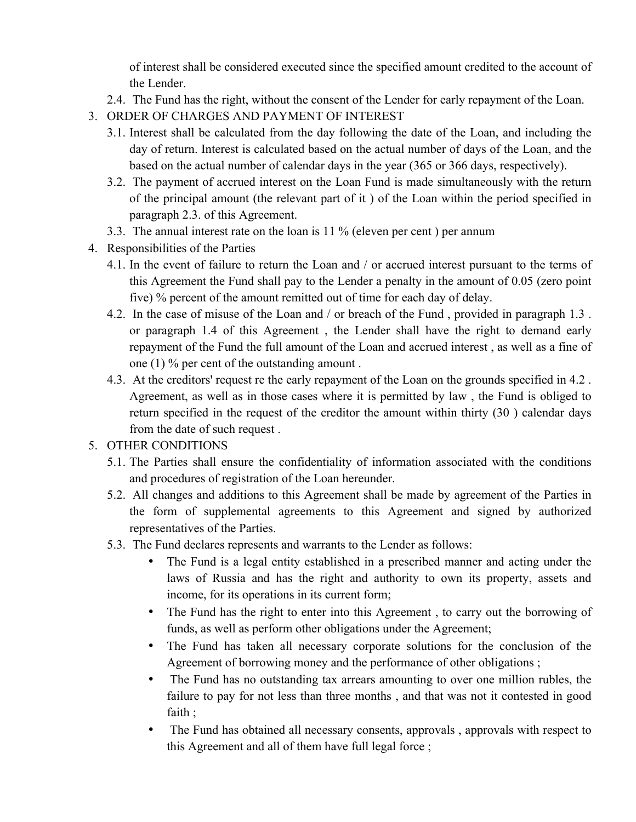of interest shall be considered executed since the specified amount credited to the account of the Lender.

- 2.4. The Fund has the right, without the consent of the Lender for early repayment of the Loan.
- 3. ORDER OF CHARGES AND PAYMENT OF INTEREST
	- 3.1. Interest shall be calculated from the day following the date of the Loan, and including the day of return. Interest is calculated based on the actual number of days of the Loan, and the based on the actual number of calendar days in the year (365 or 366 days, respectively).
	- 3.2. The payment of accrued interest on the Loan Fund is made simultaneously with the return of the principal amount (the relevant part of it ) of the Loan within the period specified in paragraph 2.3. of this Agreement.
	- 3.3. The annual interest rate on the loan is 11 % (eleven per cent ) per annum
- 4. Responsibilities of the Parties
	- 4.1. In the event of failure to return the Loan and / or accrued interest pursuant to the terms of this Agreement the Fund shall pay to the Lender a penalty in the amount of 0.05 (zero point five) % percent of the amount remitted out of time for each day of delay.
	- 4.2. In the case of misuse of the Loan and / or breach of the Fund , provided in paragraph 1.3 . or paragraph 1.4 of this Agreement , the Lender shall have the right to demand early repayment of the Fund the full amount of the Loan and accrued interest , as well as a fine of one (1) % per cent of the outstanding amount .
	- 4.3. At the creditors' request re the early repayment of the Loan on the grounds specified in 4.2 . Agreement, as well as in those cases where it is permitted by law , the Fund is obliged to return specified in the request of the creditor the amount within thirty (30 ) calendar days from the date of such request .

# 5. OTHER CONDITIONS

- 5.1. The Parties shall ensure the confidentiality of information associated with the conditions and procedures of registration of the Loan hereunder.
- 5.2. All changes and additions to this Agreement shall be made by agreement of the Parties in the form of supplemental agreements to this Agreement and signed by authorized representatives of the Parties.
- 5.3. The Fund declares represents and warrants to the Lender as follows:
	- The Fund is a legal entity established in a prescribed manner and acting under the laws of Russia and has the right and authority to own its property, assets and income, for its operations in its current form;
	- The Fund has the right to enter into this Agreement, to carry out the borrowing of funds, as well as perform other obligations under the Agreement;
	- The Fund has taken all necessary corporate solutions for the conclusion of the Agreement of borrowing money and the performance of other obligations ;
	- The Fund has no outstanding tax arrears amounting to over one million rubles, the failure to pay for not less than three months , and that was not it contested in good faith ;
	- The Fund has obtained all necessary consents, approvals, approvals with respect to this Agreement and all of them have full legal force ;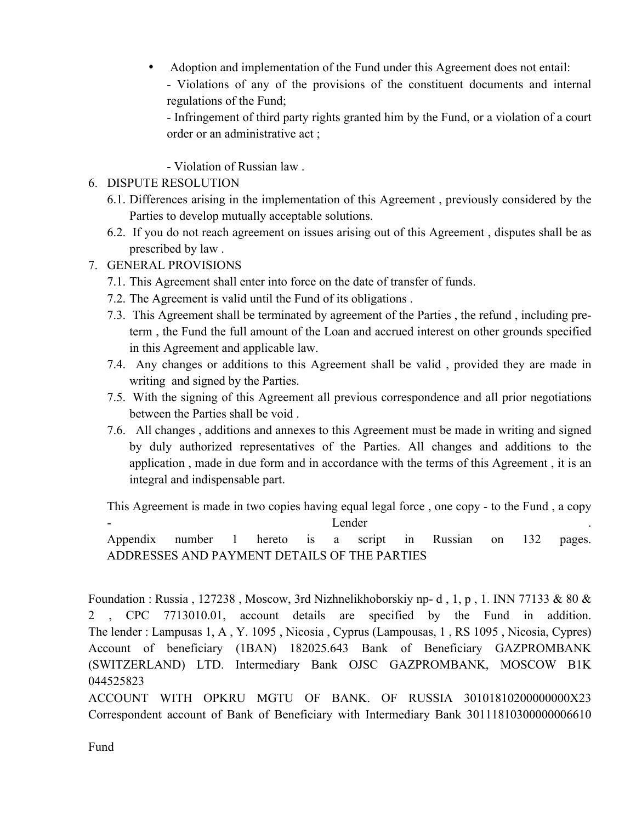• Adoption and implementation of the Fund under this Agreement does not entail:

- Violations of any of the provisions of the constituent documents and internal regulations of the Fund;

- Infringement of third party rights granted him by the Fund, or a violation of a court order or an administrative act ;

- Violation of Russian law .

# 6. DISPUTE RESOLUTION

- 6.1. Differences arising in the implementation of this Agreement , previously considered by the Parties to develop mutually acceptable solutions.
- 6.2. If you do not reach agreement on issues arising out of this Agreement , disputes shall be as prescribed by law .
- 7. GENERAL PROVISIONS
	- 7.1. This Agreement shall enter into force on the date of transfer of funds.
	- 7.2. The Agreement is valid until the Fund of its obligations .
	- 7.3. This Agreement shall be terminated by agreement of the Parties , the refund , including preterm , the Fund the full amount of the Loan and accrued interest on other grounds specified in this Agreement and applicable law.
	- 7.4. Any changes or additions to this Agreement shall be valid , provided they are made in writing and signed by the Parties.
	- 7.5. With the signing of this Agreement all previous correspondence and all prior negotiations between the Parties shall be void .
	- 7.6. All changes , additions and annexes to this Agreement must be made in writing and signed by duly authorized representatives of the Parties. All changes and additions to the application , made in due form and in accordance with the terms of this Agreement , it is an integral and indispensable part.

This Agreement is made in two copies having equal legal force , one copy - to the Fund , a copy example the contract of the Lender contract of the contract of the contract of the contract of the contract of the contract of the contract of the contract of the contract of the contract of the contract of the contract of Appendix number 1 hereto is a script in Russian on 132 pages. ADDRESSES AND PAYMENT DETAILS OF THE PARTIES

Foundation : Russia , 127238 , Moscow, 3rd Nizhnelikhoborskiy np- d , 1, p , 1. INN 77133 & 80 & 2 , CPC 7713010.01, account details are specified by the Fund in addition. The lender : Lampusas 1, A , Y. 1095 , Nicosia , Cyprus (Lampousas, 1 , RS 1095 , Nicosia, Cypres) Account of beneficiary (1BAN) 182025.643 Bank of Beneficiary GAZPROMBANK (SWITZERLAND) LTD. Intermediary Bank OJSC GAZPROMBANK, MOSCOW B1K 044525823

ACCOUNT WITH OPKRU MGTU OF BANK. OF RUSSIA 30101810200000000X23 Correspondent account of Bank of Beneficiary with Intermediary Bank 30111810300000006610

Fund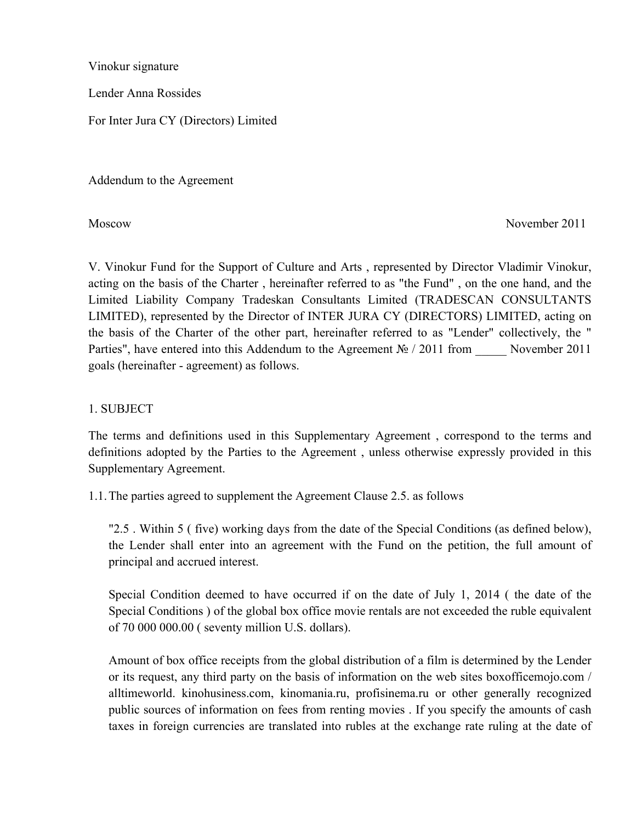Vinokur signature

Lender Anna Rossides

For Inter Jura CY (Directors) Limited

Addendum to the Agreement

Moscow November 2011

V. Vinokur Fund for the Support of Culture and Arts , represented by Director Vladimir Vinokur, acting on the basis of the Charter , hereinafter referred to as "the Fund" , on the one hand, and the Limited Liability Company Tradeskan Consultants Limited (TRADESCAN CONSULTANTS LIMITED), represented by the Director of INTER JURA CY (DIRECTORS) LIMITED, acting on the basis of the Charter of the other part, hereinafter referred to as "Lender" collectively, the " Parties", have entered into this Addendum to the Agreement № / 2011 from November 2011 goals (hereinafter - agreement) as follows.

# 1. SUBJECT

The terms and definitions used in this Supplementary Agreement , correspond to the terms and definitions adopted by the Parties to the Agreement , unless otherwise expressly provided in this Supplementary Agreement.

1.1.The parties agreed to supplement the Agreement Clause 2.5. as follows

"2.5 . Within 5 ( five) working days from the date of the Special Conditions (as defined below), the Lender shall enter into an agreement with the Fund on the petition, the full amount of principal and accrued interest.

Special Condition deemed to have occurred if on the date of July 1, 2014 ( the date of the Special Conditions ) of the global box office movie rentals are not exceeded the ruble equivalent of 70 000 000.00 ( seventy million U.S. dollars).

Amount of box office receipts from the global distribution of a film is determined by the Lender or its request, any third party on the basis of information on the web sites boxofficemojo.com / alltimeworld. kinohusiness.com, kinomania.ru, profisinema.ru or other generally recognized public sources of information on fees from renting movies . If you specify the amounts of cash taxes in foreign currencies are translated into rubles at the exchange rate ruling at the date of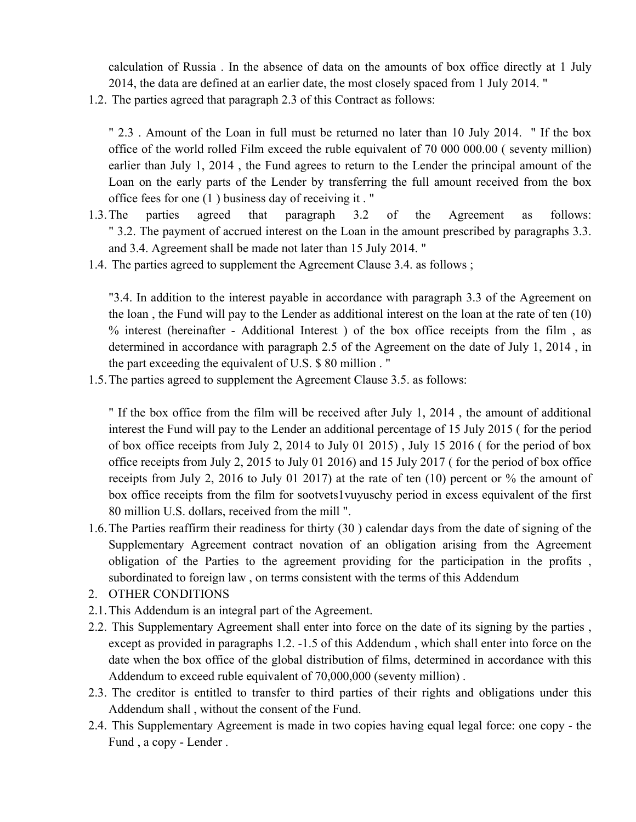calculation of Russia . In the absence of data on the amounts of box office directly at 1 July 2014, the data are defined at an earlier date, the most closely spaced from 1 July 2014. "

1.2. The parties agreed that paragraph 2.3 of this Contract as follows:

" 2.3 . Amount of the Loan in full must be returned no later than 10 July 2014. " If the box office of the world rolled Film exceed the ruble equivalent of 70 000 000.00 ( seventy million) earlier than July 1, 2014 , the Fund agrees to return to the Lender the principal amount of the Loan on the early parts of the Lender by transferring the full amount received from the box office fees for one (1 ) business day of receiving it . "

- 1.3.The parties agreed that paragraph 3.2 of the Agreement as follows: " 3.2. The payment of accrued interest on the Loan in the amount prescribed by paragraphs 3.3. and 3.4. Agreement shall be made not later than 15 July 2014. "
- 1.4. The parties agreed to supplement the Agreement Clause 3.4. as follows ;

"3.4. In addition to the interest payable in accordance with paragraph 3.3 of the Agreement on the loan , the Fund will pay to the Lender as additional interest on the loan at the rate of ten (10) % interest (hereinafter - Additional Interest ) of the box office receipts from the film , as determined in accordance with paragraph 2.5 of the Agreement on the date of July 1, 2014 , in the part exceeding the equivalent of U.S. \$ 80 million . "

1.5.The parties agreed to supplement the Agreement Clause 3.5. as follows:

" If the box office from the film will be received after July 1, 2014 , the amount of additional interest the Fund will pay to the Lender an additional percentage of 15 July 2015 ( for the period of box office receipts from July 2, 2014 to July 01 2015) , July 15 2016 ( for the period of box office receipts from July 2, 2015 to July 01 2016) and 15 July 2017 ( for the period of box office receipts from July 2, 2016 to July 01 2017) at the rate of ten (10) percent or % the amount of box office receipts from the film for sootvets1vuyuschy period in excess equivalent of the first 80 million U.S. dollars, received from the mill ".

- 1.6.The Parties reaffirm their readiness for thirty (30 ) calendar days from the date of signing of the Supplementary Agreement contract novation of an obligation arising from the Agreement obligation of the Parties to the agreement providing for the participation in the profits , subordinated to foreign law , on terms consistent with the terms of this Addendum
- 2. OTHER CONDITIONS
- 2.1.This Addendum is an integral part of the Agreement.
- 2.2. This Supplementary Agreement shall enter into force on the date of its signing by the parties , except as provided in paragraphs 1.2. -1.5 of this Addendum , which shall enter into force on the date when the box office of the global distribution of films, determined in accordance with this Addendum to exceed ruble equivalent of 70,000,000 (seventy million) .
- 2.3. The creditor is entitled to transfer to third parties of their rights and obligations under this Addendum shall , without the consent of the Fund.
- 2.4. This Supplementary Agreement is made in two copies having equal legal force: one copy the Fund , a copy - Lender .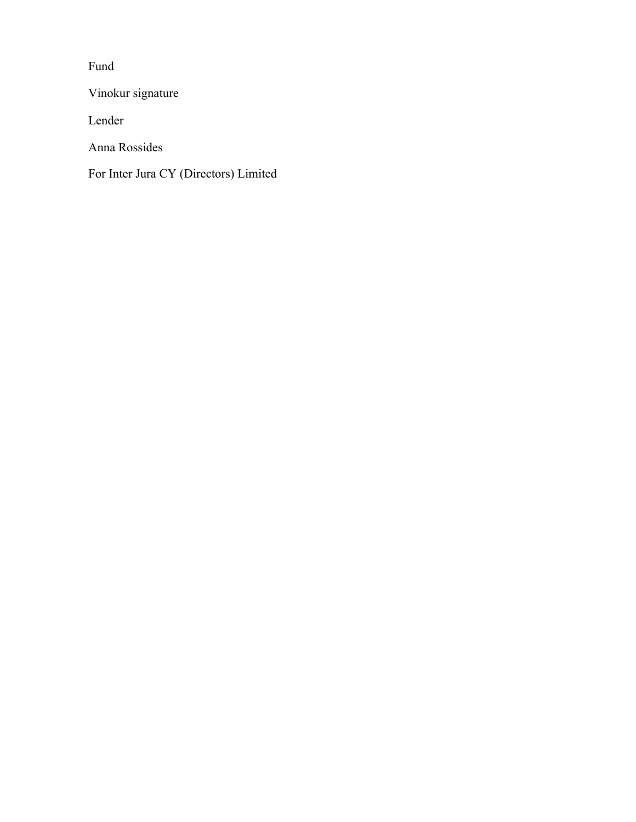Fund

Vinokur signature

Lender

Anna Rossides

For Inter Jura CY (Directors) Limited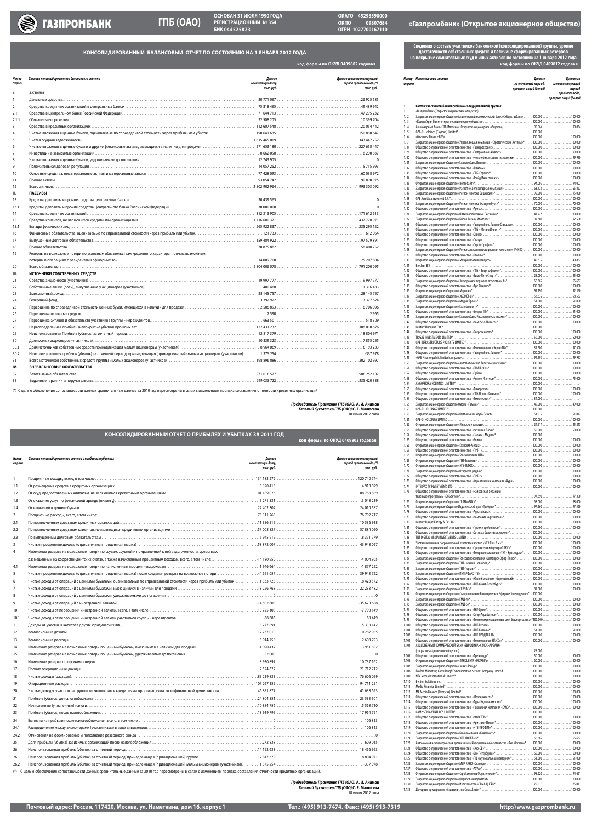**КОНСОЛИДИРОВАННЫЙ БАЛАНСОВЫЙ ОТЧЕТ по состоянию НА 1 ЯНВАРЯ 2012 ГОДА**

| Номер<br>строки | Статьи консолидированного балансового отчета                                                  | Данные<br>на отчетную дату,<br>тыс. руб. | Данные за соответствующий<br>период прошлого года, (*)<br>тыс. руб. |
|-----------------|-----------------------------------------------------------------------------------------------|------------------------------------------|---------------------------------------------------------------------|
| ı.              | <b>АКТИВЫ</b>                                                                                 |                                          |                                                                     |
|                 |                                                                                               |                                          |                                                                     |
| 2               |                                                                                               |                                          |                                                                     |
| 2.1             |                                                                                               |                                          |                                                                     |
| 2.1.1           |                                                                                               |                                          |                                                                     |
| 3               |                                                                                               |                                          |                                                                     |
| 4               |                                                                                               |                                          |                                                                     |
| 5               |                                                                                               |                                          |                                                                     |
| 6               |                                                                                               |                                          |                                                                     |
|                 |                                                                                               |                                          |                                                                     |
| 8               |                                                                                               |                                          |                                                                     |
| 9               |                                                                                               |                                          |                                                                     |
| 10              |                                                                                               |                                          |                                                                     |
| 11              |                                                                                               |                                          |                                                                     |
| 12              |                                                                                               |                                          |                                                                     |
| П.              | <b>ПАССИВЫ</b>                                                                                |                                          |                                                                     |
| 13              |                                                                                               |                                          |                                                                     |
| 13.1            |                                                                                               |                                          |                                                                     |
| 14              |                                                                                               |                                          |                                                                     |
| 15              |                                                                                               |                                          |                                                                     |
| 15.1            |                                                                                               |                                          |                                                                     |
| 16              |                                                                                               |                                          |                                                                     |
| 17              |                                                                                               |                                          |                                                                     |
| 18              |                                                                                               |                                          |                                                                     |
| 19              | Резервы на возможные потери по условным обязательствам кредитного характера, прочим возможным |                                          |                                                                     |
|                 |                                                                                               |                                          |                                                                     |
| 20              |                                                                                               |                                          |                                                                     |
| Ш.              | ИСТОЧНИКИ СОБСТВЕННЫХ СРЕДСТВ                                                                 |                                          |                                                                     |
| 21              |                                                                                               |                                          |                                                                     |
| 22              |                                                                                               |                                          |                                                                     |
| 23              |                                                                                               |                                          |                                                                     |
| 24              |                                                                                               |                                          |                                                                     |
| 25              |                                                                                               |                                          |                                                                     |
| 26              |                                                                                               |                                          |                                                                     |
| 27              |                                                                                               |                                          |                                                                     |
| 28              |                                                                                               |                                          |                                                                     |
| 29              |                                                                                               |                                          |                                                                     |
| 30              |                                                                                               |                                          |                                                                     |
| 30.1            |                                                                                               |                                          |                                                                     |
| 30.2            |                                                                                               |                                          |                                                                     |
| 31              |                                                                                               |                                          |                                                                     |
| IV.             | ВНЕБАЛАНСОВЫЕ ОБЯЗАТЕЛЬСТВА                                                                   |                                          |                                                                     |
| 32              |                                                                                               |                                          |                                                                     |
| 33              |                                                                                               |                                          |                                                                     |

(\*) С целью обеспечения сопоставимости данных сравнительные данные за 2010 год пересмотрены в связи с изменением порядка составления отчетности кредитных организаций.

|                 | <u> КОНСОЛИДИРОВАННЫЙ ОТЧЕТ О ПРИБЫЛЯХ И УБЫТКАХ ЗА 2011 ГОД \</u> |                                          | код формы по ОКУД 0409803 годовая                                   |
|-----------------|--------------------------------------------------------------------|------------------------------------------|---------------------------------------------------------------------|
| Номер<br>строки | Статьи консолидированного отчета о прибылях и убытках              | Данные<br>на отчетную дату,<br>тыс. руб. | Данные за соответствующий<br>период прошлого года, (*)<br>тыс. руб. |
|                 |                                                                    |                                          |                                                                     |

| 1.1            |                                                                                                         |  |
|----------------|---------------------------------------------------------------------------------------------------------|--|
| 1.2            |                                                                                                         |  |
| 1.3            |                                                                                                         |  |
| 1.4            |                                                                                                         |  |
| $\overline{2}$ |                                                                                                         |  |
| 2.1            |                                                                                                         |  |
| 2.2            |                                                                                                         |  |
| 2.3            |                                                                                                         |  |
| 3              |                                                                                                         |  |
| 4              | Изменение резерва на возможные потери по ссудам, ссудной и приравненной к ней задолженности, средствам, |  |
|                |                                                                                                         |  |
| 4.1            |                                                                                                         |  |
| 5              |                                                                                                         |  |
| 6              |                                                                                                         |  |
| 7              |                                                                                                         |  |
| 8              |                                                                                                         |  |
| 9              |                                                                                                         |  |
| 10             |                                                                                                         |  |
| 10.1           |                                                                                                         |  |
| 11             |                                                                                                         |  |
| 12             |                                                                                                         |  |
| 13             |                                                                                                         |  |
| 14             |                                                                                                         |  |
| 15             |                                                                                                         |  |
| 16             |                                                                                                         |  |
| 17             |                                                                                                         |  |
| 18             |                                                                                                         |  |
| 19             |                                                                                                         |  |
| 20             |                                                                                                         |  |
| 21             |                                                                                                         |  |
| 22             |                                                                                                         |  |
| 23             |                                                                                                         |  |
| 24             |                                                                                                         |  |
| 24.1           |                                                                                                         |  |
| 24.2           |                                                                                                         |  |
| 25             |                                                                                                         |  |
| 26             |                                                                                                         |  |
| 26.1           |                                                                                                         |  |
| 26.2           |                                                                                                         |  |
|                |                                                                                                         |  |

(\*) С целью обеспечения сопоставимости данных сравнительные данные за 2010 год пересмотрены в связи с изменением порядка составления отчетности кредитных организаций.

*Председатель Правления ГПБ (ОАО)* **А. И. Акимов** *Главный бухгалтер ГПБ (ОАО)* **С. Е. Малюсева** 18 июня 2012 года

*Председатель Правления ГПБ (ОАО)* **А. И. Акимов** *Главный бухгалтер ГПБ (ОАО)* **С. Е. Малюсева** 18 июня 2012 года

**код формы по ОКУД 0409812 годовая Сведения о составе участников банковской (консолидированной) группы, уровне достаточности собственных средств и величине сформированных резервов на покрытие сомнительных ссуд и иных активов по состоянию на 1 января 2012 года**

| строки         | Номер Наименование статьи                                                                                | Данные<br>за отчетный период,<br>процент акций (долей) | Данные за<br>соответствующий<br>период  |
|----------------|----------------------------------------------------------------------------------------------------------|--------------------------------------------------------|-----------------------------------------|
|                |                                                                                                          |                                                        | прошлого года,<br>процент акций (долей) |
| 1<br>1.1       | Состав участников банковской (консолидированной) группы:<br>«Газпромбанк»(Открытое акционерное общество) |                                                        |                                         |
| 1.2<br>1.3     |                                                                                                          |                                                        |                                         |
| 1.4<br>1.5     |                                                                                                          |                                                        |                                         |
| 1.6<br>1, 7    | Закрытое акционерное общество «Управляющая компания - Стратегические Активы»*  100.000 100.000           |                                                        |                                         |
| 1.8<br>1.9     |                                                                                                          |                                                        |                                         |
| 1,10<br>1.11   |                                                                                                          |                                                        |                                         |
| 1.12<br>1.13   |                                                                                                          |                                                        |                                         |
| 1.14<br>1.15   |                                                                                                          |                                                        |                                         |
| 1.16<br>1.17   | Закрытое акционерное общество «Расчетно-депозитарная компания» 63.175 55.867                             |                                                        |                                         |
| 1.18<br>1.19   |                                                                                                          |                                                        |                                         |
| 1.20<br>1.21   |                                                                                                          |                                                        |                                         |
| 1.22<br>1.23   |                                                                                                          |                                                        |                                         |
| 1.24<br>1.25   |                                                                                                          |                                                        |                                         |
| 1.26<br>1.27   |                                                                                                          |                                                        |                                         |
| 1.28<br>1.29   | Закрытое акционерное общество «Региональная инвестиционная компания» (РИНКО) 100.000100.000              |                                                        |                                         |
| 1.30           |                                                                                                          |                                                        |                                         |
| 1.31<br>1.32   |                                                                                                          |                                                        |                                         |
| 1.33<br>1.34   |                                                                                                          |                                                        |                                         |
| 1.35<br>1.36   |                                                                                                          |                                                        |                                         |
| 1.37<br>1.38   |                                                                                                          |                                                        |                                         |
| 1.39<br>1.40   |                                                                                                          |                                                        |                                         |
| 1.41<br>1.42   |                                                                                                          |                                                        |                                         |
| 1.43<br>1.44   |                                                                                                          |                                                        |                                         |
| 1.45<br>1.46   |                                                                                                          |                                                        |                                         |
| 1.47<br>1.48   |                                                                                                          |                                                        |                                         |
| 1.49<br>1.50   |                                                                                                          |                                                        |                                         |
| 1.51           |                                                                                                          |                                                        |                                         |
| 1.52<br>1.53   |                                                                                                          |                                                        |                                         |
| 1.54<br>1.55   |                                                                                                          |                                                        |                                         |
| 1.56<br>1.57   |                                                                                                          |                                                        |                                         |
| 1.58<br>1.59   |                                                                                                          |                                                        |                                         |
| 1.60<br>1.61   | Закрытое акционерное общество «Футбольный клуб «Зенит» 51.012 51.012                                     |                                                        |                                         |
| 1.62<br>1.63   |                                                                                                          |                                                        |                                         |
| 1.64<br>1.65   |                                                                                                          |                                                        |                                         |
| 1.66<br>1.67   |                                                                                                          |                                                        |                                         |
| 1.68<br>1.69   |                                                                                                          |                                                        |                                         |
| 1.70           |                                                                                                          |                                                        |                                         |
| 1.71<br>1.72   |                                                                                                          |                                                        |                                         |
| 1.73<br>1.74   |                                                                                                          |                                                        |                                         |
| 1.75           | Общество с ограниченной ответственностью «Чайковская редакция                                            |                                                        |                                         |
| 1.76<br>1.77   | Закрытое акционерное общество Издательский дом «Трибуна»* 97.560 97.560                                  |                                                        |                                         |
| 1.78<br>1.79   |                                                                                                          |                                                        |                                         |
| 1.80<br>1.81   |                                                                                                          |                                                        |                                         |
| 1.82<br>1.83   |                                                                                                          |                                                        |                                         |
| 1.84<br>1.85   |                                                                                                          |                                                        |                                         |
| 1.86           | Общество с ограниченной ответственностью «Телерадиокомпания «ТНТ - Краснодар»* 100.000 100.000           |                                                        |                                         |
| 1.87<br>1.88   |                                                                                                          |                                                        |                                         |
| 1.89<br>1.90   |                                                                                                          |                                                        |                                         |
| 1.91<br>1.92   |                                                                                                          |                                                        |                                         |
| 1.93<br>1.94   | Открытое акционерное общество «Ставропольское Коммерческое Эфирное Телевидение»* 100.000                 |                                                        |                                         |
| 1.95<br>1.96   |                                                                                                          |                                                        |                                         |
| 1.97<br>1.98   |                                                                                                          |                                                        |                                         |
| 1.99<br>1.100  | Общество с ограниченной ответственностью «Телекоммуникационные сети Башкортостана»*100.000100.000        |                                                        |                                         |
| 1.101<br>1.102 |                                                                                                          |                                                        |                                         |
| 1.103<br>1.104 | АКЦИОНЕРНЫЙ КОММЕРЧЕСКИЙ БАНК «ЕВРОФИНАНС МОСНАРБАНК»                                                    |                                                        |                                         |
| 1.105          |                                                                                                          |                                                        |                                         |
| 1.106<br>1.107 |                                                                                                          |                                                        |                                         |
| 1.108          |                                                                                                          |                                                        |                                         |
| 1.109<br>1.110 |                                                                                                          |                                                        |                                         |
| 1.111<br>1.112 |                                                                                                          |                                                        |                                         |
| 1.113<br>1.114 |                                                                                                          |                                                        |                                         |
| 1.115<br>1.116 |                                                                                                          |                                                        |                                         |
| 1.117<br>1.118 |                                                                                                          |                                                        |                                         |
| 1.119<br>1.120 |                                                                                                          |                                                        |                                         |
| 1.121<br>1.122 | Автономная некоммерческая организация «Информационное агентство «Эхо Москвы»*  100.000 80.000            |                                                        |                                         |
| 1.123<br>1.124 |                                                                                                          |                                                        |                                         |
| 1.125          |                                                                                                          |                                                        |                                         |
| 1.126<br>1.127 |                                                                                                          |                                                        |                                         |
| 1.128<br>1.129 |                                                                                                          |                                                        |                                         |
| 1.130<br>1.131 |                                                                                                          |                                                        |                                         |
|                |                                                                                                          |                                                        |                                         |

**код формы по ОКУД 0409802 годовая**

# РЕГИСТРАЦИОННЫЙ № 354 СТРО В ОКПО 09807684 «Газпромбанк» (Открытое акционерное общество)<br>БИК 044525823 стрн 1027700167110



**ОСНОВАН 31 ИЮЛЯ 1990 ГОДА РЕГИСТРАЦИОННЫЙ № 354**

**ОКАТО 45293590000 09807684 ОГРН 1027700167110**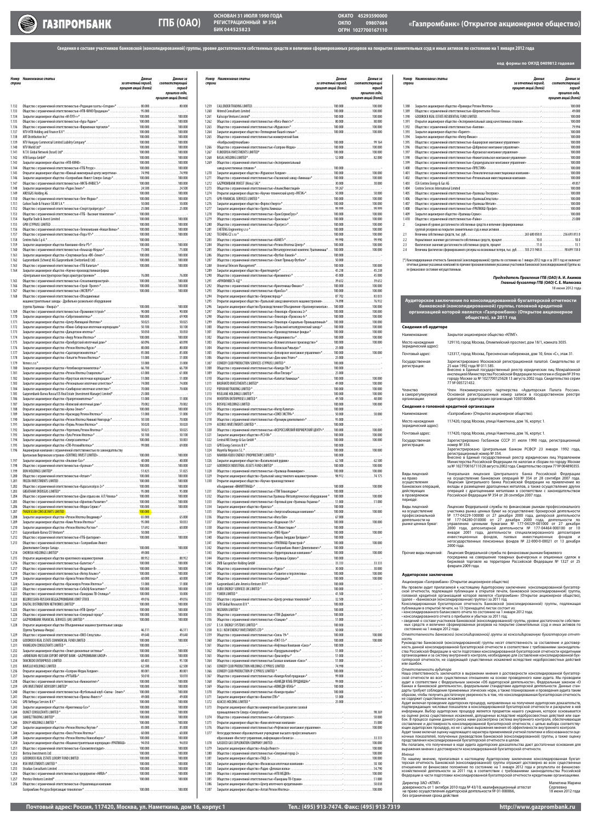| строки                  | Номер Наименование статьи                                                                                               | Данные<br>за отчетный период, | Данные за<br>соответствующий |
|-------------------------|-------------------------------------------------------------------------------------------------------------------------|-------------------------------|------------------------------|
|                         |                                                                                                                         | процент акций (долей)         | период<br>прошлого года,     |
| 1.132                   |                                                                                                                         |                               | процент акций (долей)        |
| 1.133<br>1.134          |                                                                                                                         |                               |                              |
| 1.135<br>1.136          |                                                                                                                         |                               |                              |
| 1.137<br>1.138          |                                                                                                                         |                               |                              |
| 1.139<br>1.140          |                                                                                                                         |                               |                              |
| 1.141<br>1.142          |                                                                                                                         |                               |                              |
| 1.143<br>1.144          |                                                                                                                         |                               |                              |
| 1.145<br>1.146          | Открытое акционерное общество «Южный инженерный центр энергетики» 74.990 74.990                                         |                               |                              |
| 1.147<br>1.148          |                                                                                                                         |                               |                              |
| 1.149<br>1.150          |                                                                                                                         |                               |                              |
| 1.151<br>1.152          |                                                                                                                         |                               |                              |
| 1.153<br>1.154          |                                                                                                                         |                               |                              |
| 1.155<br>1.156          |                                                                                                                         |                               |                              |
| 1.157<br>1.158          |                                                                                                                         |                               |                              |
| 1.159<br>1.160          |                                                                                                                         |                               |                              |
| 1.161<br>1.162          |                                                                                                                         |                               |                              |
| 1.163<br>1.164          | Закрытое акционерное общество «Научно-производственная фирма                                                            |                               |                              |
| 1.165                   |                                                                                                                         |                               |                              |
| 1.166<br>1.167          |                                                                                                                         |                               |                              |
| 1.168                   | Общество с ограниченной ответственностью «Объединенные<br>машиностроительные заводы - Дробильно-размольное оборудование |                               |                              |
| 1.169                   |                                                                                                                         |                               |                              |
| 1.170<br>1.171          |                                                                                                                         |                               |                              |
| 1.172<br>1.173          |                                                                                                                         |                               |                              |
| 1.174<br>1.175          |                                                                                                                         |                               |                              |
| 1.176<br>1.177          |                                                                                                                         |                               |                              |
| 1.178<br>1.179          |                                                                                                                         |                               |                              |
| 1.180<br>1.181          |                                                                                                                         |                               |                              |
| 1.182<br>1.183          |                                                                                                                         |                               |                              |
| 1.184<br>1.185          |                                                                                                                         |                               |                              |
| 1.186<br>1.187          |                                                                                                                         |                               |                              |
| 1.188<br>1.189          |                                                                                                                         |                               |                              |
| 1.190<br>1.191<br>1.192 |                                                                                                                         |                               |                              |
| 1.193<br>1.194          |                                                                                                                         |                               |                              |
| 1.195<br>1.196          | Акционерная компания с ограниченной ответственностью по законодательству                                                |                               |                              |
| 1.197                   |                                                                                                                         |                               |                              |
| 1.198<br>1.199          |                                                                                                                         |                               |                              |
| 1.200<br>1.201          |                                                                                                                         |                               |                              |
| 1.202<br>1.203          |                                                                                                                         |                               |                              |
| 1.204<br>1.205          |                                                                                                                         |                               |                              |
| 1.206<br>1.207<br>1.208 |                                                                                                                         |                               |                              |
| 1.209<br>1.210          | Закрытое акционерное общество «Регион Ипотека Ростов»* 57.692 60.000                                                    |                               |                              |
| 1.211<br>1.212          |                                                                                                                         |                               |                              |
| 1.213                   | Общество с ограниченной ответственностью « Газпромбанк-Инвест                                                           |                               |                              |
| 1.214<br>1.215          |                                                                                                                         |                               |                              |
| 1.216<br>1.217          |                                                                                                                         |                               |                              |
| 1.218<br>1.219          |                                                                                                                         |                               |                              |
| 1.220<br>1.221          |                                                                                                                         |                               |                              |
| 1.222<br>1.223          |                                                                                                                         |                               |                              |
| 1.224<br>1.225          |                                                                                                                         |                               |                              |
| 1.226<br>1.227          |                                                                                                                         |                               |                              |
| 1.228                   | Открытое акционерное общество Объединенные машиностроительные заводы                                                    |                               |                              |
| 1.229<br>1.230          |                                                                                                                         |                               |                              |
| 1.231<br>1.232          |                                                                                                                         |                               |                              |
| 1.233<br>1.234          |                                                                                                                         |                               |                              |
| 1.235<br>1.236          |                                                                                                                         |                               |                              |
| 1.237<br>1.238          |                                                                                                                         |                               |                              |
| 1.239<br>1.240<br>1.241 |                                                                                                                         |                               |                              |
| 1.242<br>1.243          |                                                                                                                         |                               |                              |
| 1.244<br>1.245          |                                                                                                                         |                               |                              |
| 1.246<br>1.247          |                                                                                                                         |                               |                              |
| 1.248<br>1.249          |                                                                                                                         |                               |                              |
| 1.250<br>1.251          | Закрытое акционерное общество «Машиностроительная корпорация «УРАЛМАШ»  94.050 94.050                                   |                               |                              |
| 1.252<br>1.253          |                                                                                                                         |                               |                              |
| 1.254<br>1.255          |                                                                                                                         |                               |                              |
| 1.256<br>1.257          |                                                                                                                         |                               |                              |
| 1.258                   | Общество с ограниченной ответственностью «Управляющая компания                                                          |                               |                              |

| строки                  | Номер Наименование статьи                                                                      | Данные<br>за отчетный период, | Данные за<br>соответствующий |
|-------------------------|------------------------------------------------------------------------------------------------|-------------------------------|------------------------------|
|                         |                                                                                                | процент акций (долей)         | период<br>прошлого года,     |
| 1.259                   |                                                                                                |                               | процент акций (долей)        |
| 1.260                   |                                                                                                |                               |                              |
| 1.261<br>1.262          |                                                                                                |                               |                              |
| 1.263<br>1.264          |                                                                                                |                               |                              |
| 1.265                   | Общество с ограниченной ответственностью коммерческий банк                                     |                               |                              |
| 1.266<br>1.267          |                                                                                                |                               |                              |
| 1.268<br>1.269          | Общество с ограниченной ответственностью «Экспериментальный                                    |                               |                              |
| 1.270                   |                                                                                                |                               |                              |
| 1.271<br>1.272          |                                                                                                |                               |                              |
| 1.273<br>1.274          |                                                                                                |                               |                              |
| 1.275<br>1.276          |                                                                                                |                               |                              |
| 1.277<br>1.278          |                                                                                                |                               |                              |
| 1.279<br>1.280          |                                                                                                |                               |                              |
| 1.281                   |                                                                                                |                               |                              |
| 1.282<br>1.283          |                                                                                                |                               |                              |
| 1.284<br>1.285          | Общество с ограниченной ответственностью Металлургический комплекс Уралхиммаш* 100.000 100.000 |                               |                              |
| 1.286<br>1.287          |                                                                                                |                               |                              |
| 1.288<br>1.289          |                                                                                                |                               |                              |
| 1.290<br>1.291          |                                                                                                |                               |                              |
| 1.292<br>1.293          |                                                                                                |                               |                              |
| 1.294<br>1.295          | Открытое акционерное общество «Уральский завод химического машиностроения» 74.89876.932        |                               |                              |
| 1.296<br>1.297          | Закрытое акционерное общество Производственное Объединение «Уралэнергомонтаж» 100.000 100.000  |                               |                              |
| 1.298<br>1.299          | Общество с ограниченной ответственностью «Технопарк «Социально-Промышленный»* 100.000 100.000  |                               |                              |
| 1.300<br>1.301          |                                                                                                |                               |                              |
| 1.302                   |                                                                                                |                               |                              |
| 1.303<br>1.304          |                                                                                                |                               |                              |
| 1.305<br>1.306          | Общество с ограниченной ответственностью «Белоярское монтажное управление»* 100.000 100.000    |                               |                              |
| 1.307<br>1.308          |                                                                                                |                               |                              |
| 1.309<br>1.310          |                                                                                                |                               |                              |
| 1.311<br>1.312          |                                                                                                |                               |                              |
| 1.313<br>1.314          |                                                                                                |                               |                              |
| 1.315<br>1.316          |                                                                                                |                               |                              |
| 1.317<br>1.318          |                                                                                                |                               |                              |
| 1.319<br>1.320          | Общество с ограниченной ответственностью «ВСЕРОССИЙСКИЙ ФЕРМЕРСКИЙ ЦЕНТР»* 100.000 100.000     |                               |                              |
| 1.321<br>1.322          |                                                                                                |                               |                              |
| 1.323<br>1.324          |                                                                                                |                               |                              |
| 1.325                   |                                                                                                |                               |                              |
| 1.326<br>1.327          |                                                                                                |                               |                              |
| 1.328<br>1.329          | Открытое акционерное общество «Уральский завод тяжелого машиностроения»  98.912 74.175         |                               |                              |
| 1.330                   | Открытое акционерное общество «Научно-производственное                                         |                               |                              |
| 1.331<br>1.332          |                                                                                                |                               |                              |
| 1.333<br>1.334          |                                                                                                |                               |                              |
| 1.335<br>1.336          |                                                                                                |                               |                              |
| 1.337<br>1.338          |                                                                                                |                               |                              |
| 1.339<br>1.340          |                                                                                                |                               |                              |
| 1.341<br>1.342          |                                                                                                |                               |                              |
| 1.343<br>1.344          |                                                                                                |                               |                              |
| 1.345                   |                                                                                                |                               |                              |
| 1.346<br>1.347          |                                                                                                |                               |                              |
| 1.348<br>1.349          |                                                                                                |                               |                              |
| 1.350<br>1.351          |                                                                                                |                               |                              |
| 1.352<br>1.353          |                                                                                                |                               |                              |
| 1.354<br>1.355          |                                                                                                |                               |                              |
| 1.356<br>1.357          |                                                                                                |                               |                              |
| 1.358<br>1.359          |                                                                                                |                               |                              |
| 1.360<br>1.361          |                                                                                                |                               |                              |
| 1.362<br>1.363          |                                                                                                |                               |                              |
| 1.364                   |                                                                                                |                               |                              |
| 1.365<br>1.366<br>1.367 |                                                                                                |                               |                              |
| 1.368                   |                                                                                                |                               |                              |
| 1.369<br>1.370          |                                                                                                |                               |                              |
| 1.371<br>1.372          |                                                                                                |                               |                              |
| 1.373                   | Открытое акционерное общество коммерческий банк развития газовой                               |                               |                              |
| 1.374<br>1.375          |                                                                                                |                               |                              |
| 1.376<br>1.377          | Негосударственное образовательное учреждение высшего профессионального                         |                               |                              |
| 1.378                   |                                                                                                |                               |                              |
| 1.379<br>1.380          |                                                                                                |                               |                              |
| 1.381<br>1.382          |                                                                                                |                               |                              |
| 1.383<br>1.384          |                                                                                                |                               |                              |
| 1.385<br>1.386          |                                                                                                |                               |                              |
| 1.387                   |                                                                                                |                               |                              |

| 1.388<br>1.389<br>1.390<br>1.391<br>1.392<br>1.393<br>1.394<br>1.395<br>1.396<br>1.397<br>Общество с ограниченной ответственностью «Нижнетагильское монтажное управление» 100.000<br>1.398<br>1.399<br>Общество с ограниченной ответственностью «Среднеуральское монтажное управление» 100.000                  | за отчетный период,<br>процент акций (долей) | соответствующий<br>период<br>прошлого года.<br>процент акций (долей) |
|-----------------------------------------------------------------------------------------------------------------------------------------------------------------------------------------------------------------------------------------------------------------------------------------------------------------|----------------------------------------------|----------------------------------------------------------------------|
|                                                                                                                                                                                                                                                                                                                 |                                              |                                                                      |
|                                                                                                                                                                                                                                                                                                                 |                                              |                                                                      |
|                                                                                                                                                                                                                                                                                                                 |                                              |                                                                      |
|                                                                                                                                                                                                                                                                                                                 |                                              |                                                                      |
|                                                                                                                                                                                                                                                                                                                 |                                              |                                                                      |
|                                                                                                                                                                                                                                                                                                                 |                                              |                                                                      |
|                                                                                                                                                                                                                                                                                                                 |                                              |                                                                      |
|                                                                                                                                                                                                                                                                                                                 |                                              |                                                                      |
|                                                                                                                                                                                                                                                                                                                 |                                              |                                                                      |
|                                                                                                                                                                                                                                                                                                                 |                                              |                                                                      |
|                                                                                                                                                                                                                                                                                                                 |                                              |                                                                      |
|                                                                                                                                                                                                                                                                                                                 |                                              |                                                                      |
| 1.400                                                                                                                                                                                                                                                                                                           |                                              |                                                                      |
| 1.401                                                                                                                                                                                                                                                                                                           |                                              |                                                                      |
| 1.402<br>Общество с ограниченной ответственностью «Региональная инвестиционная компания»100.000                                                                                                                                                                                                                 |                                              |                                                                      |
| 1.403                                                                                                                                                                                                                                                                                                           |                                              |                                                                      |
| 1.404                                                                                                                                                                                                                                                                                                           |                                              |                                                                      |
| 1.405                                                                                                                                                                                                                                                                                                           |                                              |                                                                      |
| 1.406                                                                                                                                                                                                                                                                                                           |                                              |                                                                      |
| 1.407                                                                                                                                                                                                                                                                                                           |                                              |                                                                      |
| 1.408                                                                                                                                                                                                                                                                                                           |                                              |                                                                      |
| 1.409                                                                                                                                                                                                                                                                                                           |                                              |                                                                      |
| 1.410                                                                                                                                                                                                                                                                                                           |                                              |                                                                      |
| $\overline{2}$<br>Сведения об уровне достаточности собственных средств и величине сформированных                                                                                                                                                                                                                |                                              |                                                                      |
|                                                                                                                                                                                                                                                                                                                 |                                              |                                                                      |
| 2.1                                                                                                                                                                                                                                                                                                             |                                              |                                                                      |
| 2.2                                                                                                                                                                                                                                                                                                             |                                              |                                                                      |
| 2.3                                                                                                                                                                                                                                                                                                             |                                              |                                                                      |
| 2.4<br>Величина фактически сформированного резерва на возможные потери, тыс. руб 103 213 948.0 90 699 118.0                                                                                                                                                                                                     |                                              |                                                                      |
| (*) Консолидированная отчетность банковской (консолидированной) группы по состоянию на 1 января 2012 года и за 2011 год не включает<br>отчетные данные указанных компаний по причине признания влияния указанных участников банковской (консолидированной) Группы на<br>ее финансовое состояние несущественным. |                                              |                                                                      |
| Председатель Правления ГПБ (ОАО) А. И. Акимов<br>Главный бухгалтер ГПБ (ОАО) С. Е. Малюсева                                                                                                                                                                                                                     |                                              |                                                                      |

18 июня 2012 года

**код формы по ОКУД 0409812 годовая**



**ОСНОВАН 31 ИЮЛЯ 1990 ГОДА РЕГИСТРАЦИОННЫЙ № 354**

**ОКАТО 45293590000 ОКПО 09807684 ОГРН 1027700167110**

Сведения о составе участников банковской (консолидированной) группы, уровне достаточности собственных средств и величине сформированных резервов на покрытие сомнительных ссуд и иных активов по состоянию на 1 января 2012 го

|                                                | Аудиторское заключение по консолидированной бухгалтерской отчетности<br>банковской (консолидированной) группы, головной кредитной<br>организацией которой является «Газпромбанк» (Открытое акционерное<br>общество), за 2011 год                                                                                                                                                                                      |
|------------------------------------------------|-----------------------------------------------------------------------------------------------------------------------------------------------------------------------------------------------------------------------------------------------------------------------------------------------------------------------------------------------------------------------------------------------------------------------|
| Сведения об аудиторе                           |                                                                                                                                                                                                                                                                                                                                                                                                                       |
| Наименование:                                  | Закрытое акционерное общество «КПМГ».                                                                                                                                                                                                                                                                                                                                                                                 |
| Место нахождения<br>(юридический адрес):       | 129110, город Москва, Олимпийский проспект, дом 18/1, комната 3035.                                                                                                                                                                                                                                                                                                                                                   |
| Почтовый адрес:                                | 123317, город Москва, Пресненская набережная, дом 10, блок «С», этаж 31.                                                                                                                                                                                                                                                                                                                                              |
| Государственная<br>регистрация:                | Зарегистрировано Московской регистрационной палатой. Свидетельство от<br>25 мая 1992 года № 011.585.<br>Внесено в Единый государственный реестр юридических лиц Межрайонной<br>инспекцией Министерства Российской Федерации по налогам и сборам № 39 по<br>городу Москве за № 1027700125628 13 августа 2002 года. Свидетельство серии<br>77 № 005721432.                                                              |
| Членство<br>в саморегулируемой<br>организации: | Член Некоммерческого партнерства «Аудиторская Палата<br>России».<br>Основной регистрационный номер записи в государственном реестре<br>аудиторов и аудиторских организаций 10301000804.                                                                                                                                                                                                                               |
|                                                | Сведения о головной кредитной организации                                                                                                                                                                                                                                                                                                                                                                             |
| Наименование:                                  | «Газпромбанк» (Открытое акционерное общество).                                                                                                                                                                                                                                                                                                                                                                        |
| Место нахождения<br>(юридический адрес):       | 117420, город Москва, улица Наметкина, дом 16, корпус 1.                                                                                                                                                                                                                                                                                                                                                              |
| Почтовый адрес:                                | 117420, город Москва, улица Наметкина, дом 16, корпус 1.                                                                                                                                                                                                                                                                                                                                                              |
| Государственная<br>регистрация:                | Зарегистрировано Госбанком СССР 31 июля 1990 года, регистрационный<br>номер № 354.<br>Зарегистрировано Центральным банком РСФСР 23 января 1992 года,<br>регистрационный номер № 354.<br>Внесено в Единый государственный реестр юридических лиц Управлением<br>Министерства Российской Федерации по налогам и сборам по городу Москве<br>за № 1027700167110 28 августа 2002 года. Свидетельство серии 77 № 004890355. |

Виды лицензий

Генеральная лицензия Центрального банка Российской Федерации

| на право<br>осуществления<br>банковских операций,<br>действующих<br>в проверяемом<br>периоде:   | на осуществление банковских операций № 354 от 28 сентября 2007 года.<br>Лицензия Центрального банка Российской Федерации на привлечение во<br>вклады и размещение драгоценных металлов, а также осуществление других<br>операций с драгоценными металлами в соответствии с законодательством<br>Российской Федерации № 354 от 28 сентября 2007 года.                                                                                                                                                                                                                                                                                 |
|-------------------------------------------------------------------------------------------------|--------------------------------------------------------------------------------------------------------------------------------------------------------------------------------------------------------------------------------------------------------------------------------------------------------------------------------------------------------------------------------------------------------------------------------------------------------------------------------------------------------------------------------------------------------------------------------------------------------------------------------------|
| Виды лицензий<br>на осуществление<br>профессиональной<br>деятельности на<br>рынке ценных бумаг: | Лицензии Федеральной службы по финансовым рынкам профессионального<br>участника рынка ценных бумаг на осуществление: брокерской деятельности<br>№ 177-04229-100000 от 27 декабря 2000 года, дилерской деятельности<br>№ 177-04280-010000 от 27 декабря 2000 года, деятельности по<br>управлению ценными бумагами № 177-04329-001000 от 27 декабря<br>2000 года, депозитарной деятельности № 177-04464-000100 от 10<br>января 2001 года, деятельности специализированного депозитария<br>инвестиционных фондов, паевых инвестиционных фондов<br>и<br>негосударственных пенсионных фондов № 22-000-0-00021 от 13 декабря<br>2000 года. |
| Прочие виды лицензий:                                                                           | Лицензия Федеральной службы по финансовым рынкам биржевого<br>посредника на совершение товарных фьючерсных и опционных сделок в<br>биржевой торговле на территории Российской Федерации № 1327 от 25<br>февраля 2009 года.                                                                                                                                                                                                                                                                                                                                                                                                           |

#### **Аудиторское заключение**

Акционерам «Газпромбанк» (Открытое акционерное общество)

Мы провели аудит прилагаемой к настоящему Аудиторскому заключению консолидированной бухгалтерской отчетности, подлежащей публикации в открытой печати, банковской (консолидированной) группы,<br>головной кредитной организацией которой является «Газпромбанк» (Открытое акционерное общество), (далее – «Банковская (консолидированная) группа») за 2011 год.

Консолидированная бухгалтерская отчетность Банковской (консолидированной) группы, подлежащая публикации в открытой печати, на 13 (тринадцати) листах состоит из:

- консолидированного балансового отчета по состоянию на 1 января 2012 года; консолидированного отчета о прибылях и убытках за 2011 год;
- 

• сведений о составе участников банковской (консолидированной) группы, уровне достаточности собственных средств и величине сформированных резервов на покрытие сомнительных ссуд и иных активов по состоянию на 1 января 2012 года.

*Ответственность Банковской (консолидированной) группы за консолидированную бухгалтерскую отчетность*

Руководство Банковской (консолидированной) группы несет ответственность за составление и достоверность данной консолидированной бухгалтерской отчетности в соответствии с требованиями законодатель-ства Российской Федерации в части подготовки консолидированной бухгалтерской отчетности кредитными организациями и за систему внутреннего контроля, необходимую для составления консолидированной бух-галтерской отчетности, не содержащей существенных искажений вследствие недобросовестных действий или ошибок.

#### *Ответственность аудитора*

Наша ответственность заключается в выражении мнения о достоверности консолидированной бухгалтерской отчетности во всех существенных отношениях на основе проведенного нами аудита. Мы проводили аудит в соответствии с Федеральным законом «Об аудиторской деятельности», Федеральным законом «О банках и банковской деятельности», федеральными стандартами аудиторской деятельности. Данные стан-дарты требуют соблюдения применимых этических норм, а также планирования и проведения аудита таким образом, чтобы получить достаточную уверенность в том, что консолидированная бухгалтерская отчетность не содержит существенных искажений.

Аудит включал проведение аудиторских процедур, направленных на получение аудиторских доказательств, подтверждающих числовые показатели в консолидированной бухгалтерской отчетности и раскрытие в ней информации. Выбор аудиторских процедур является предметом нашего суждения, которое основывается на оценке риска существенных искажений, допущенных вследствие недобросовестных действий или ошибок. В процессе оценки данного риска нами рассмотрена система внутреннего контроля, обеспечивающая составление и достоверность консолидированной бухгалтерской отчетности, с целью выбора соответствующих аудиторских процедур, но не с целью выражения мнения об эффективности внутреннего контроля. Аудит также включал оценку надлежащего характера применяемой учетной политики и обоснованности оце-<br>ночных показателей, полученных руководством Банковской (консолидированной) группы, а также оценку представления консолидированной бухгалтерской отчетности в целом.

Мы полагаем, что полученные в ходе аудита аудиторские доказательства дают достаточные основания для выражения мнения о достоверности консолидированной бухгалтерской отчетности.

#### *Мнение*

По нашему мнению, прилагаемая к настоящему Аудиторскому заключению консолидированная бухгалтерская отчетность Банковской (консолидированной) группы отражает достоверно во всех существенных отношениях ее финансовое положение по состоянию на 1 января 2012 года и результаты ее финансовохозяйственной деятельности за 2011 год в соответствии с требованиями законодательства Российской Федерации в части подготовки консолидированной бухгалтерской отчетности кредитными организациями.

#### Директор ЗАО «КПМГ»

доверенность от 1 октября 2010 года № 43/10, квалификационный аттестат на право осуществления аудиторской деятельности № 01-000066, без ограничения срока действия Малютина Марина Сергеевна 18 июня 2012 года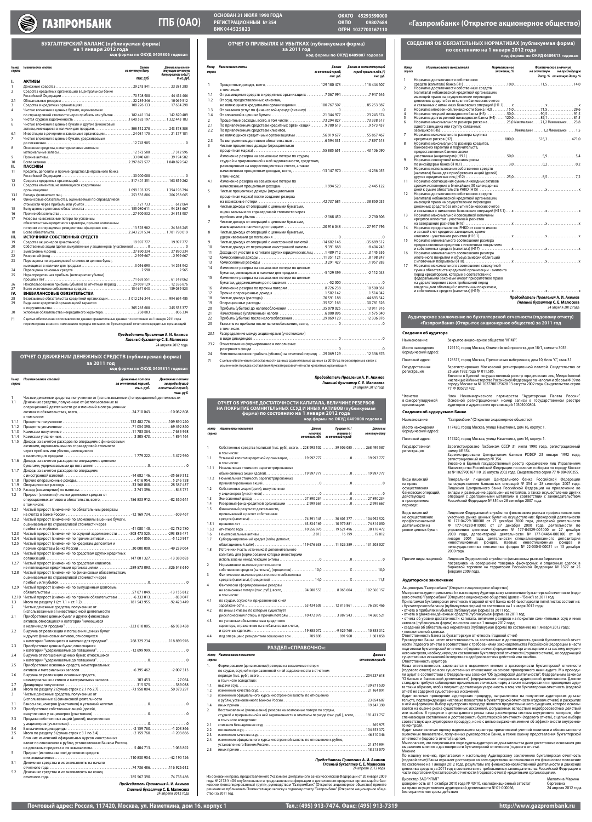| Номер<br>строки | Наименование статей                                                                                              | Денежные потоки<br>за отчетный период,<br>тыс. руб. | Денежные потоки<br>за предыдущий<br>отчетный период, |
|-----------------|------------------------------------------------------------------------------------------------------------------|-----------------------------------------------------|------------------------------------------------------|
| 1               | Чистые денежные средства, полученные от (использованные в) операционной деятельности                             |                                                     | тыс. руб.                                            |
| 1.1             | Денежные средства, полученные от (использованные в)<br>операционной деятельности до изменений в операционных     |                                                     |                                                      |
|                 | в том числе:                                                                                                     |                                                     |                                                      |
| 1.1.1<br>1.1.2  |                                                                                                                  |                                                     |                                                      |
| 1.1.3           |                                                                                                                  |                                                     |                                                      |
| 1.1.4           |                                                                                                                  |                                                     |                                                      |
| 1.1.5           | Доходы за вычетом расходов по операциям с финансовыми<br>активами, оцениваемыми по справедливой стоимости        |                                                     |                                                      |
|                 | через прибыль или убыток, имеющимися                                                                             |                                                     |                                                      |
| 1.1.6           | Доходы за вычетом расходов по операциям с ценными                                                                |                                                     |                                                      |
|                 |                                                                                                                  |                                                     |                                                      |
| 1.1.7           | Доходы за вычетом расходов по операциям                                                                          |                                                     |                                                      |
| 1.1.8           |                                                                                                                  |                                                     |                                                      |
| 1.1.9           |                                                                                                                  |                                                     |                                                      |
| 1.2             | Прирост (снижение) чистых денежных средств от                                                                    |                                                     |                                                      |
|                 | операционных активов и обязательств, всего, 156 833 912 - 82 360 641<br>в том числе:                             |                                                     |                                                      |
| 1.2.1           | Чистый прирост (снижение) по обязательным резервам                                                               |                                                     |                                                      |
| 1.2.2           | Чистый прирост (снижение) по вложениям в ценные бумаги,                                                          |                                                     |                                                      |
|                 | оцениваемым по справедливой стоимости через                                                                      |                                                     |                                                      |
| 1.2.3           | Чистый прирост (снижение) по ссудной задолженности -308 473 525-293 885 471                                      |                                                     |                                                      |
| 1.2.4           | Чистый прирост (снижение) по прочим активам 644 8555 120 917                                                     |                                                     |                                                      |
| 1.2.5           | Чистый прирост (снижение) по кредитам, депозитам и                                                               |                                                     |                                                      |
| 1.2.6           | Чистый прирост (снижение) по средствам других кредитных                                                          |                                                     |                                                      |
|                 |                                                                                                                  |                                                     |                                                      |
| 1.2.7           | Чистый прирост (снижение) по средствам клиентов,<br>не являющихся кредитными организациями289 573 093326 543 610 |                                                     |                                                      |
| 1.2.8           | Чистый прирост (снижение) по финансовым обязательствам,                                                          |                                                     |                                                      |
|                 | оцениваемым по справедливой стоимости через                                                                      |                                                     |                                                      |
| 1.2.9           | Чистый прирост (снижение) по выпущенным долговым                                                                 |                                                     |                                                      |
|                 | 1.2.10 Чистый прирост (снижение) по прочим обязательствам  -6 333 013 -830 047                                   |                                                     |                                                      |
| 1.3             |                                                                                                                  |                                                     |                                                      |
| $\overline{2}$  | Чистые денежные средства, полученные от<br>(использованные в) инвестиционной деятельности                        |                                                     |                                                      |
| 2.1             | Приобретение ценных бумаг и других финансовых                                                                    |                                                     |                                                      |
|                 | активов, относящихся к категории "имеющиеся                                                                      |                                                     |                                                      |
| 2.2             | Выручка от реализации и погашения ценных бумаг                                                                   |                                                     |                                                      |
|                 | и других финансовых активов, относящихся<br>к категории "имеющиеся в наличии для продажи"268 329 234118 899 976  |                                                     |                                                      |
| 2.3             | Приобретение ценных бумаг, относящихся                                                                           |                                                     |                                                      |
| 2.4             | Выручка от погашения ценных бумаг, относящихся                                                                   |                                                     |                                                      |
|                 |                                                                                                                  |                                                     |                                                      |
| 2.5             | Приобретение основных средств, нематериальных                                                                    |                                                     |                                                      |
| 2.6             | Выручка от реализации основных средств,                                                                          |                                                     |                                                      |
|                 | нематериальных активов и материальных запасов  103 453 27 054                                                    |                                                     |                                                      |
| 2.7<br>2.8      |                                                                                                                  |                                                     |                                                      |
| 3               | Чистые денежные средства, полученные от                                                                          |                                                     |                                                      |
| 3.1             | (использованные в) финансовой деятельности                                                                       |                                                     |                                                      |
| 3.2             | Приобретение собственных акций (долей),                                                                          |                                                     |                                                      |
| 3.3             | Продажа собственных акций (долей), выкупленных                                                                   |                                                     |                                                      |
|                 |                                                                                                                  |                                                     |                                                      |
| 3.4<br>3.5      |                                                                                                                  |                                                     |                                                      |
| 4               | Влияние изменений официальных курсов иностранных                                                                 |                                                     |                                                      |
|                 | валют по отношению к рублю, установленных Банком России,                                                         |                                                     |                                                      |
| 5               | на денежные средства и их эквиваленты 5 404 713 1 066 892<br>Прирост (использование) денежных средств            |                                                     |                                                      |
| 5.1             | Денежные средства и их эквиваленты на начало                                                                     |                                                     |                                                      |
|                 |                                                                                                                  |                                                     |                                                      |
| 5.2             | Денежные средства и их эквиваленты на конец                                                                      |                                                     |                                                      |

## **ОТЧЕТ О ДВИЖЕНИИ ДЕНЕЖНЫХ СРЕДСТВ (публикуемая форма) за 2011 год код формы по ОКУД 0409814 годовая**

**БУХГАЛТЕРСКИЙ БАЛАНС (публикуемая форма) на 1 января 2012 года код формы по ОКУД 0409806 годовая**

> не являющимся кредитными организациями . . . . . . . . . . . . . . . 100 767 507 . . . . . . . . . . . . . . . 85 253 387 1.3 От оказания услуг по финансовой аренде (лизингу) . . . . . . . . . . . . . . . . . . . 0 . . . . . . . . . . . . . . . . . . . . . . . . . 0 1.4 От вложений в ценные бумаги . . . . . . . . . . . . . . . . . . . . . . . . . . . . . . . 21 344 977 . . . . . . . . . . . . . . . 23 243 574 2 Процентные расходы, всего, в том числе: . . . . . . . . . . . . . . . . . . . . 73 294 827 . . . . . . . . . . . . . . . 73 338 517 По привлеченным средствам кредитных организаций . . . . . . . . 9 780 619 . . . . . . . . . . . . . . . . . 9 573 437

| Номер<br>строки | Наименование статьи                                                                               | Данные<br>на отчетную дату, | Данные на соответ-<br>ствующую отчетную<br>дату прошлого года, (*) |
|-----------------|---------------------------------------------------------------------------------------------------|-----------------------------|--------------------------------------------------------------------|
| ı.              | <b>АКТИВЫ</b>                                                                                     | тыс. руб.                   | тыс. руб.                                                          |
|                 |                                                                                                   |                             |                                                                    |
| $\mathbf{1}$    |                                                                                                   |                             |                                                                    |
| $\overline{2}$  | Средства кредитных организаций в Центральном банке                                                |                             |                                                                    |
| 2.1             |                                                                                                   |                             |                                                                    |
| 3               |                                                                                                   |                             |                                                                    |
| 4               | Чистые вложения в ценные бумаги, оцениваемые                                                      |                             |                                                                    |
|                 | по справедливой стоимости через прибыль или убыток  182 441 134  142 870 409                      |                             |                                                                    |
| 5               |                                                                                                   |                             |                                                                    |
| 6               | Чистые вложения в ценные бумаги и другие финансовые                                               |                             |                                                                    |
|                 | активы, имеющиеся в наличии для продажи 308 512 278  243 578 388                                  |                             |                                                                    |
| 6.1             | Инвестиции в дочерние и зависимые организации24 031 175  21 377 181                               |                             |                                                                    |
| $\overline{7}$  | Чистые вложения в ценные бумаги, удерживаемые                                                     |                             |                                                                    |
|                 |                                                                                                   |                             |                                                                    |
| 8               | Основные средства, нематериальные активы и                                                        |                             |                                                                    |
|                 |                                                                                                   |                             |                                                                    |
| 9               |                                                                                                   |                             |                                                                    |
| 10              |                                                                                                   |                             |                                                                    |
| н.              | ПАССИВЫ                                                                                           |                             |                                                                    |
| 11              | Кредиты, депозиты и прочие средства Центрального банка                                            |                             |                                                                    |
|                 |                                                                                                   |                             |                                                                    |
| 12              |                                                                                                   |                             |                                                                    |
| 13              | Средства клиентов, не являющихся кредитными                                                       |                             |                                                                    |
|                 |                                                                                                   |                             |                                                                    |
| 13.1            |                                                                                                   |                             |                                                                    |
| 14              | Финансовые обязательства, оцениваемые по справедливой                                             |                             |                                                                    |
|                 |                                                                                                   |                             |                                                                    |
| 15              | Выпущенные долговые обязательства 155 080 611  94 281 667                                         |                             |                                                                    |
| 16              |                                                                                                   |                             |                                                                    |
| 17              | Резервы на возможные потери по условным                                                           |                             |                                                                    |
|                 | обязательствам кредитного характера, прочим возможным                                             |                             |                                                                    |
|                 | потерям и операциям с резидентами офшорных зон 13 593 982  24 366 245                             |                             |                                                                    |
| 18              |                                                                                                   |                             |                                                                    |
| Ш.              | ИСТОЧНИКИ СОБСТВЕННЫХ СРЕДСТВ                                                                     |                             |                                                                    |
| 19              |                                                                                                   |                             |                                                                    |
| 20<br>21        |                                                                                                   |                             |                                                                    |
| 22              |                                                                                                   |                             |                                                                    |
| 23              | Переоценка по справедливой стоимости ценных бумаг,                                                |                             |                                                                    |
|                 |                                                                                                   |                             |                                                                    |
| 24              |                                                                                                   |                             |                                                                    |
| 25              | Нераспределенная прибыль (непокрытые убытки)                                                      |                             |                                                                    |
|                 |                                                                                                   |                             |                                                                    |
| 26              | Неиспользованная прибыль (убыток) за отчетный период 29 069 129  12 336 876                       |                             |                                                                    |
| 27              |                                                                                                   |                             |                                                                    |
| IV.             | ВНЕБАЛАНСОВЫЕ ОБЯЗАТЕЛЬСТВА                                                                       |                             |                                                                    |
| 28              | Безотзывные обязательства кредитной организации 012 216 244  994 694 485                          |                             |                                                                    |
| 29              | Выданные кредитной организацией гарантии                                                          |                             |                                                                    |
|                 |                                                                                                   |                             |                                                                    |
| 30              |                                                                                                   |                             |                                                                    |
| $(*)$           | С целью обеспечения сопоставимости данных сравнительные данные по состоянию на 1 января 2011 года |                             |                                                                    |

- 24 Неиспользованная прибыль (убыток) за отчетный период . . 29 069 129 . . . . . . . . . . . . . . . 12 336 876
- (\*) С целью обеспечения сопоставимости данных сравнительные данные за 2010 год пересмотрены в связи с нием порядка составления бухгалтерской отчетности кредитных организаций

пересмотрены в связи с изменением порядка составления бухгалтерской отчетности кредитных организаций

ава, предоставленного Указанием Центрального Банка Российской Федерации от 20 января 2009 года № 2172-У «Об опубликовании и представлении информации о деятельности кредитных организаций и банковских (консолидированных) групп», руководством "Газпромбанк" (Открытое акционерное общество) принято решение не публиковать Пояснительную записку к годовому отчету "Газпромбанк" (Открытое акционерное общество) за 2011 год.

Виды лицензий на право Генеральная лицензия Центрального банка Российской Федера

**ОТЧЕТ О ПРИБЫЛЯХ И УБЫТКАХ (публикуемая форма) за 2011 год** 

**код формы по ОКУД 0409807 годовая**

1 Процентные доходы, всего, . . . . . . . . . . . . . . . . . . . . . . . . . . . . . . . . . 129 180 478 . . . . . . . . . . . . . . 116 444 607

в том числе:

1.1 От размещения средств в кредитных организациях . . . . . . . . . . 7 067 994 . . . . . . . . . . . . . . . . 7 947 646

1.2 От ссуд, предоставленных клиентам,

2.2 По привлеченным средствам клиентов,

не являющихся кредитными организациями . . . . . . . . . . . . . . . . 56 919 677 . . . . . . . . . . . . . . . 55 867 467 2.3 По выпущенным долговым обязательствам . . . . . . . . . . . . . . . . . . . 6 594 531 . . . . . . . . . . . . . . . . 7 897 613

3 Чистые процентные доходы (отрицательная

процентная маржа) . . . . . . . . . . . . . . . . . . . . . . . . . . . . . . . . . . . . . . . . . . 55 885 651 . . . . . . . . . . . . . . . 43 106 090

4 Изменение резерва на возможные потери по ссудам, ссудной и приравненной к ней задолженности, средствам, размещенным на корреспондентских счетах, а также

начисленным процентным доходам, всего, . . . . . . . . . . . . . . . . . -13 147 970 . . . . . . . . . . . . . . . -4 256 055

в том числе:

4.1 Изменение резерва на возможные потери по

начисленным процентным доходам . . . . . . . . . . . . . . . . . . . . . . . . . . 1 994 523 . . . . . . . . . . . . . . . -2 445 122

5 Чистые процентные доходы (отрицательная процентная маржа) после создания резерва

на возможные потери . . . . . . . . . . . . . . . . . . . . . . . . . . . . . . . . . . . . . . . . 42 737 681 . . . . . . . . . . . . . . . 38 850 035

6 Чистые доходы от операций с ценными бумагами, оцениваемыми по справедливой стоимости через

прибыль или убыток . . . . . . . . . . . . . . . . . . . . . . . . . . . . . . . . . . . . . . . . . . -2 368 450 . . . . . . . . . . . . . . . . 2 730 606

7 Чистые доходы от операций с ценными бумагами,

имеющимися в наличии для продажи . . . . . . . . . . . . . . . . . . . . . . . 20 916 048 . . . . . . . . . . . . . . . 27 917 796

8 Чистые доходы от операций с ценными бумагами,

удерживаемыми до погашения . . . . . . . . . . . . . . . . . . . . . . . . . . . . . . . . . . . . . . . . 0 . . . . . . . . . . . . . . . . . . . . . . . . . 0 Чистые доходы от операций с иностранной валютой ........-14 682 146 ...............-35 689 512 Чистые доходы от переоценки иностранной валюты . . . . . . . . . 9 391 668 . . . . . . . . . . . . . . . -8 404 243 Доходы от участия в капитале других юридических лиц . . . . . . 1 489 712 . . . . . . . . . . . . . . . . 3 145 536 Комиссионные доходы . . . . . . . . . . . . . . . . . . . . . . . . . . . . . . . . . . . . . . . 11 351 121 . . . . . . . . . . . . . . . . 8 198 247 Комиссионные расходы . . . . . . . . . . . . . . . . . . . . . . . . . . . . . . . . . . . . . . 3 291 427 . . . . . . . . . . . . . . . . 1 957 283

14 Изменение резерва на возможные потери по ценным

бумагам, имеющимся в наличии для продажи . . . . . . . . . . . . . . . . -5 129 399 . . . . . . . . . . . . . . . -2 112 043

15 Изменение резерва на возможные потери по ценным

бумагам, удерживаемым до погашения . . . . . . . . . . . . . . . . . . . . . . . . . . -52 000 . . . . . . . . . . . . . . . . . . . . . . . . . 0 Изменение резерва по прочим потерям . . . . . . . . . . . . . . . . . . . . . . 8 726 238 . . . . . . . . . . . . . . . 10 500 361 Прочие операционные доходы . . . . . . . . . . . . . . . . . . . . . . . . . . . . . . . 1 502 142 . . . . . . . . . . . . . . . . 1 514 042 Чистые доходы (расходы) . . . . . . . . . . . . . . . . . . . . . . . . . . . . . . . . . . . . 70 591 188 . . . . . . . . . . . . . . . 44 693 542 Операционные расходы . . . . . . . . . . . . . . . . . . . . . . . . . . . . . . . . . . . . . 35 521 163 . . . . . . . . . . . . . . . 30 781 626 20 Прибыль (убыток) до налогообложения ........................35 070 025 ................ 13 911 916 Начисленные (уплаченные) налоги . . . . . . . . . . . . . . . . . . . . . . . . . . . 6 000 896 . . . . . . . . . . . . . . . . 1 575 040

| 1<br>$\mathcal{P}$<br>3<br>4<br>5<br>6<br>7 | Норматив достаточности собственных<br>Норматив достаточности собственных средств<br>(капитала) небанковской кредитной организации,<br>имеющей право на осуществление переводов<br>денежных средств без открытия банковских счетов<br>одного заемщика или группу связанных<br>Норматив максимального размера крупных | дату, % отчетную дату, %<br>Норматив мгновенной ликвидности банка (H2) 15,071,5  29,6<br>Норматив долгосрочной ликвидности банка (Н4)  120,089,1  81,5<br>Норматив максимального размера риска на 25,0 Максимальное21,2 Максимальное  23,8 |
|---------------------------------------------|---------------------------------------------------------------------------------------------------------------------------------------------------------------------------------------------------------------------------------------------------------------------------------------------------------------------|--------------------------------------------------------------------------------------------------------------------------------------------------------------------------------------------------------------------------------------------|
|                                             |                                                                                                                                                                                                                                                                                                                     |                                                                                                                                                                                                                                            |
|                                             |                                                                                                                                                                                                                                                                                                                     |                                                                                                                                                                                                                                            |
|                                             |                                                                                                                                                                                                                                                                                                                     |                                                                                                                                                                                                                                            |
|                                             |                                                                                                                                                                                                                                                                                                                     |                                                                                                                                                                                                                                            |
|                                             |                                                                                                                                                                                                                                                                                                                     |                                                                                                                                                                                                                                            |
|                                             |                                                                                                                                                                                                                                                                                                                     |                                                                                                                                                                                                                                            |
|                                             |                                                                                                                                                                                                                                                                                                                     |                                                                                                                                                                                                                                            |
|                                             |                                                                                                                                                                                                                                                                                                                     |                                                                                                                                                                                                                                            |
|                                             |                                                                                                                                                                                                                                                                                                                     |                                                                                                                                                                                                                                            |
|                                             |                                                                                                                                                                                                                                                                                                                     |                                                                                                                                                                                                                                            |
|                                             |                                                                                                                                                                                                                                                                                                                     |                                                                                                                                                                                                                                            |
|                                             |                                                                                                                                                                                                                                                                                                                     |                                                                                                                                                                                                                                            |
|                                             |                                                                                                                                                                                                                                                                                                                     |                                                                                                                                                                                                                                            |
|                                             |                                                                                                                                                                                                                                                                                                                     |                                                                                                                                                                                                                                            |
| 8                                           | Норматив максимального размера кредитов,                                                                                                                                                                                                                                                                            |                                                                                                                                                                                                                                            |
|                                             | банковских гарантий и поручительств,                                                                                                                                                                                                                                                                                |                                                                                                                                                                                                                                            |
|                                             | предоставленных банком своим                                                                                                                                                                                                                                                                                        |                                                                                                                                                                                                                                            |
|                                             |                                                                                                                                                                                                                                                                                                                     |                                                                                                                                                                                                                                            |
| 9                                           | Норматив совокупной величины риска                                                                                                                                                                                                                                                                                  |                                                                                                                                                                                                                                            |
|                                             |                                                                                                                                                                                                                                                                                                                     |                                                                                                                                                                                                                                            |
| 10                                          | Норматив использования собственных средств                                                                                                                                                                                                                                                                          |                                                                                                                                                                                                                                            |
|                                             | (капитала) банка для приобретения акций (долей)                                                                                                                                                                                                                                                                     |                                                                                                                                                                                                                                            |
| 11                                          | Норматив соотношения суммы ликвидных активов                                                                                                                                                                                                                                                                        |                                                                                                                                                                                                                                            |
|                                             | сроком исполнения в ближайшие 30 календарных                                                                                                                                                                                                                                                                        |                                                                                                                                                                                                                                            |
|                                             |                                                                                                                                                                                                                                                                                                                     |                                                                                                                                                                                                                                            |
| 12                                          | Норматив достаточности собственных средств                                                                                                                                                                                                                                                                          |                                                                                                                                                                                                                                            |
|                                             | (капитала) небанковской кредитной организации,                                                                                                                                                                                                                                                                      |                                                                                                                                                                                                                                            |
|                                             | имеющей право на осуществление переводов                                                                                                                                                                                                                                                                            |                                                                                                                                                                                                                                            |
|                                             | денежных средств без открытия банковских счетов                                                                                                                                                                                                                                                                     |                                                                                                                                                                                                                                            |
|                                             |                                                                                                                                                                                                                                                                                                                     |                                                                                                                                                                                                                                            |
| 13                                          | Норматив максимальной совокупной величины                                                                                                                                                                                                                                                                           |                                                                                                                                                                                                                                            |
|                                             | кредитов клиентам - участникам расчетов                                                                                                                                                                                                                                                                             |                                                                                                                                                                                                                                            |
|                                             |                                                                                                                                                                                                                                                                                                                     |                                                                                                                                                                                                                                            |
| 14                                          | Норматив предоставления РНКО от своего имени                                                                                                                                                                                                                                                                        |                                                                                                                                                                                                                                            |
|                                             | и за свой счет кредитов заемщикам, кроме                                                                                                                                                                                                                                                                            |                                                                                                                                                                                                                                            |
| 15                                          | Норматив минимального соотношения размера                                                                                                                                                                                                                                                                           |                                                                                                                                                                                                                                            |
|                                             | предоставленных кредитов с ипотечным покрытием                                                                                                                                                                                                                                                                      |                                                                                                                                                                                                                                            |
|                                             |                                                                                                                                                                                                                                                                                                                     |                                                                                                                                                                                                                                            |
| 16                                          | Норматив минимального соотношения размера                                                                                                                                                                                                                                                                           |                                                                                                                                                                                                                                            |
|                                             | ипотечного покрытия и объема эмиссии облигаций                                                                                                                                                                                                                                                                      |                                                                                                                                                                                                                                            |
|                                             |                                                                                                                                                                                                                                                                                                                     |                                                                                                                                                                                                                                            |
| 17                                          | Норматив максимального соотношения совокупной                                                                                                                                                                                                                                                                       |                                                                                                                                                                                                                                            |
|                                             | суммы обязательств кредитной организации - эмитента                                                                                                                                                                                                                                                                 |                                                                                                                                                                                                                                            |
|                                             | перед кредиторами, которые в соответствии с                                                                                                                                                                                                                                                                         |                                                                                                                                                                                                                                            |
|                                             | федеральными законами имеют приоритетное право                                                                                                                                                                                                                                                                      |                                                                                                                                                                                                                                            |
|                                             | на удовлетворение своих требований перед                                                                                                                                                                                                                                                                            |                                                                                                                                                                                                                                            |
|                                             | владельцами облигаций с ипотечным покрытием,                                                                                                                                                                                                                                                                        |                                                                                                                                                                                                                                            |
|                                             |                                                                                                                                                                                                                                                                                                                     |                                                                                                                                                                                                                                            |
|                                             |                                                                                                                                                                                                                                                                                                                     | Председатель Правления А. И. Акимов                                                                                                                                                                                                        |
|                                             |                                                                                                                                                                                                                                                                                                                     | Главный бухгалтер С. Е. Малюсева                                                                                                                                                                                                           |
|                                             |                                                                                                                                                                                                                                                                                                                     | 24 апреля 2012 года                                                                                                                                                                                                                        |
|                                             |                                                                                                                                                                                                                                                                                                                     |                                                                                                                                                                                                                                            |
|                                             |                                                                                                                                                                                                                                                                                                                     | Аудиторское заключение по бухгалтерской отчетности (годовому отчету)                                                                                                                                                                       |
|                                             |                                                                                                                                                                                                                                                                                                                     |                                                                                                                                                                                                                                            |
|                                             |                                                                                                                                                                                                                                                                                                                     | «Газпромбанк» (Открытое акционерное общество) за 2011 год                                                                                                                                                                                  |

| 22 |                                                    |
|----|----------------------------------------------------|
| 23 |                                                    |
|    | в том числе:                                       |
|    | 23.1 Распределение между акционерами (участниками) |
|    |                                                    |
|    | 23.2 Отчисления на формирование и пополнение       |
|    |                                                    |

*Номер Наименование статьи Данные Данные за соответствующий*

*строки за отчетный период, период прошлого года, (\*)*

 *тыс. руб. тыс. руб.*

| ОТЧЕТ ОБ УРОВНЕ ДОСТАТОЧНОСТИ КАПИТАЛА, ВЕЛИЧИНЕ РЕЗЕРВОВ<br>НА ПОКРЫТИЕ СОМНИТЕЛЬНЫХ ССУД И ИНЫХ АКТИВОВ (публикуемая<br>форма) по состоянию на 1 января 2012 года<br>код формы по ОКУД 0409808 годовая |                                                                                                         |                                       |                                                            |                            |
|----------------------------------------------------------------------------------------------------------------------------------------------------------------------------------------------------------|---------------------------------------------------------------------------------------------------------|---------------------------------------|------------------------------------------------------------|----------------------------|
| Номер<br>строки                                                                                                                                                                                          | Наименование показателя                                                                                 | Данные<br>на начало<br>отчетного года | $\pi$ pupocm $(+)$ /<br>снижение (-)<br>за отчетный период | Данные на<br>отчетную дату |
| 1                                                                                                                                                                                                        | Собственные средства (капитал) (тыс. руб.), всего, 228 993 502  39 506 085  268 499 587<br>в том числе: |                                       |                                                            |                            |
| 1.1                                                                                                                                                                                                      | в том числе:                                                                                            |                                       |                                                            |                            |
| 1.1.1                                                                                                                                                                                                    | Номинальная стоимость зарегистрированных                                                                |                                       |                                                            |                            |
|                                                                                                                                                                                                          |                                                                                                         |                                       |                                                            |                            |
| 1.1.2                                                                                                                                                                                                    | Номинальная стоимость зарегистрированных                                                                |                                       |                                                            |                            |
| 1.2                                                                                                                                                                                                      | Собственные акции (доли), выкупленные                                                                   |                                       |                                                            |                            |
|                                                                                                                                                                                                          |                                                                                                         |                                       |                                                            |                            |
| 1.3                                                                                                                                                                                                      |                                                                                                         |                                       |                                                            |                            |
| 1.4                                                                                                                                                                                                      |                                                                                                         |                                       |                                                            |                            |
| 1.5                                                                                                                                                                                                      | Финансовый результат деятельности,<br>принимаемый в расчет собственных                                  |                                       |                                                            |                            |
|                                                                                                                                                                                                          |                                                                                                         |                                       |                                                            |                            |
| 1.5.1                                                                                                                                                                                                    |                                                                                                         |                                       |                                                            |                            |
| 1.5.2                                                                                                                                                                                                    |                                                                                                         |                                       |                                                            |                            |
| 1.6                                                                                                                                                                                                      |                                                                                                         |                                       |                                                            |                            |
| 1.7                                                                                                                                                                                                      | Субординированный кредит (займ, депозит,                                                                |                                       |                                                            |                            |
|                                                                                                                                                                                                          | облигационный займ) 119 676 638  11 526 389  131 203 027                                                |                                       |                                                            |                            |
| 1.8                                                                                                                                                                                                      | Источники (часть источников) дополнительного                                                            |                                       |                                                            |                            |
|                                                                                                                                                                                                          | капитала, для формирования которых инвесторами                                                          |                                       |                                                            |                            |
|                                                                                                                                                                                                          |                                                                                                         |                                       |                                                            |                            |
| 2                                                                                                                                                                                                        | Нормативное значение достаточности                                                                      |                                       |                                                            |                            |
|                                                                                                                                                                                                          |                                                                                                         |                                       |                                                            |                            |
| 3                                                                                                                                                                                                        | Фактическое значение достаточности собственных                                                          |                                       |                                                            |                            |
|                                                                                                                                                                                                          |                                                                                                         |                                       |                                                            |                            |
| 4                                                                                                                                                                                                        | Фактически сформированные резервы                                                                       |                                       |                                                            |                            |
|                                                                                                                                                                                                          | на возможные потери (тыс. руб.), всего,  94 500 553  8 065 604  102 566 157                             |                                       |                                                            |                            |
|                                                                                                                                                                                                          | в том числе:                                                                                            |                                       |                                                            |                            |
| 4.1                                                                                                                                                                                                      | по ссудам, ссудной и приравненной к ней                                                                 |                                       |                                                            |                            |
|                                                                                                                                                                                                          |                                                                                                         |                                       |                                                            |                            |
| 4.2                                                                                                                                                                                                      | по иным активам, по которым существует                                                                  |                                       |                                                            |                            |
|                                                                                                                                                                                                          | риск понесения потерь, и прочим потерям  10 472 978  3 887 543  14 360 521                              |                                       |                                                            |                            |
| 4.3                                                                                                                                                                                                      | по условным обязательствам кредитного                                                                   |                                       |                                                            |                            |
|                                                                                                                                                                                                          | характера, отраженным на внебалансовых счетах,                                                          |                                       |                                                            |                            |
|                                                                                                                                                                                                          |                                                                                                         |                                       |                                                            |                            |
| 4.4                                                                                                                                                                                                      | под операции с резидентами офшорных зон  709 898  891 960 1 601 858                                     |                                       |                                                            |                            |



# **ГПБ (ОАО)**

**ОСНОВАН 31 ИЮЛЯ 1990 ГОДА РЕГИСТРАЦИОННЫЙ № 354**

# **БИК 044525823 «Газпромбанк» (Открытое акционерное общество)**

**ОКАТО 45293590000 ОКПО 09807684 ОГРН 1027700167110**

#### *Председатель Правления* **А. И. Акимов** *Главный бухгалтер* **С. Е. Малюсева** 24 апреля 2012 года

| Номер<br>строки | Наименование показателя                                                                                                   | Данные в<br>отчетном периоде |
|-----------------|---------------------------------------------------------------------------------------------------------------------------|------------------------------|
| 1.              | Формирование (доначисление) резерва на возможные потери                                                                   |                              |
|                 | по ссудам, ссудной и приравненной к ней задолженности в отчетном                                                          |                              |
|                 | в том числе вследствие:                                                                                                   |                              |
| 1.1.            |                                                                                                                           |                              |
| 1.2.            |                                                                                                                           |                              |
| 1.3.            | изменения официального курса иностранной валюты по отношению                                                              |                              |
|                 |                                                                                                                           |                              |
| 1.4.            |                                                                                                                           |                              |
| 2.              | Восстановление (уменьшение) резерва на возможные потери по ссудам,                                                        |                              |
|                 | ссудной и приравненной к ней задолженности в отчетном периоде (тыс. руб.), всего,  191 421 757<br>в том числе вследствие: |                              |
| 2.1.            |                                                                                                                           |                              |
| 2.2.            |                                                                                                                           |                              |
| 2.3.            |                                                                                                                           |                              |
| 2.4.            | изменения официального курса иностранной валюты по отношению к рублю,                                                     |                              |
|                 |                                                                                                                           |                              |
| 2.5.            |                                                                                                                           |                              |

### **РАЗДЕЛ «СПРАВОЧНО»:**

## **СВЕДЕНИЯ ОБ ОБЯЗАТЕЛЬНЫХ НОРМАТИВАХ (публикуемая форма) по состоянию на 1 января 2012 года код формы по ОКУД 0409813 годовая**

*Председатель Правления* **А. И. Акимов** *Главный бухгалтер* **С. Е. Малюсева** 24 апреля 2012 года

#### *Председатель Правления* **А. И. Акимов** *Главный бухгалтер* **С. Е. Малюсева**

24 апреля 2012 года

# *Председатель Правления* **А. И. Акимов**

*Главный бухгалтер* **С. Е. Малюсева** 24 апреля 2012 года

| Сведения об аудиторе                                                                                                                                                                                                             |                                                                                                                                                                                                                                                                                                                                                                                                                       |  |  |  |
|----------------------------------------------------------------------------------------------------------------------------------------------------------------------------------------------------------------------------------|-----------------------------------------------------------------------------------------------------------------------------------------------------------------------------------------------------------------------------------------------------------------------------------------------------------------------------------------------------------------------------------------------------------------------|--|--|--|
| Наименование:                                                                                                                                                                                                                    | Закрытое акционерное общество "КПМГ".                                                                                                                                                                                                                                                                                                                                                                                 |  |  |  |
| Место нахождения<br>(юридический адрес):                                                                                                                                                                                         | 129110, город Москва, Олимпийский проспект, дом 18/1, комната 3035.                                                                                                                                                                                                                                                                                                                                                   |  |  |  |
| Почтовый адрес:                                                                                                                                                                                                                  | 123317, город Москва, Пресненская набережная, дом 10, блок "С", этаж 31.                                                                                                                                                                                                                                                                                                                                              |  |  |  |
| Государственная<br>регистрация:                                                                                                                                                                                                  | Зарегистрировано Московской регистрационной палатой. Свидетельство от<br>25 мая 1992 года № 011.585.<br>Внесено в Единый государственный реестр юридических лиц Межрайонной<br>инспекцией Министерства Российской Федерации по налогам и сборам № 39 по<br>городу Москве за № 1027700125628 13 августа 2002 года. Свидетельство серии<br>77 № 005721432.                                                              |  |  |  |
| Членство<br>Член Некоммерческого партнерства "Аудиторская<br>Палата<br>Основной регистрационный номер записи в государственном реестре<br>в саморегулируемой<br>аудиторов и аудиторских организаций 10301000804.<br>организации: |                                                                                                                                                                                                                                                                                                                                                                                                                       |  |  |  |
| Сведения об аудируемом Банке                                                                                                                                                                                                     |                                                                                                                                                                                                                                                                                                                                                                                                                       |  |  |  |
| Наименование:                                                                                                                                                                                                                    | "Газпромбанк" (Открытое акционерное общество).                                                                                                                                                                                                                                                                                                                                                                        |  |  |  |
| Место нахождения<br>(юридический адрес):                                                                                                                                                                                         | 117420, город Москва, улица Наметкина, дом 16, корпус 1.                                                                                                                                                                                                                                                                                                                                                              |  |  |  |
| Почтовый адрес:                                                                                                                                                                                                                  | 117420, город Москва, улица Наметкина, дом 16, корпус 1.                                                                                                                                                                                                                                                                                                                                                              |  |  |  |
| Государственная<br>регистрация:                                                                                                                                                                                                  | Зарегистрировано Госбанком СССР 31 июля 1990 года, регистрационный<br>номер № 354.<br>Зарегистрировано Центральным банком РСФСР 23 января 1992 года,<br>регистрационный номер № 354.<br>Внесено в Единый государственный реестр юридических лиц Управлением<br>Министерства Российской Федерации по налогам и сборам по городу Москве<br>за № 1027700167110 28 августа 2002 года. Свидетельство серии 77 № 004890355. |  |  |  |

осуществления

действующих в проверяемом периоде:

банковских операций, на осуществление банковских операций № 354 от 28 сентября 2007 года. Лицензия Центрального банка Российской Федерации на привлечение во вклады и размещение драгоценных металлов, а также осуществление других операций с драгоценными металлами в соответствии с законодательством Российской Федерации № 354 от 28 сентября 2007 года.

Виды лицензий на осуществление профессиональной деятельности на рынке ценных бумаг: Лицензии Федеральной службы по финансовым рынкам профессионального участника рынка ценных бумаг на осуществление: брокерской деятельности № 177-04229-100000 от 27 декабря 2000 года, дилерской деятельности № 177-04280-010000 от 27 декабря 2000 года, деятельности по управлению ценными бумагами № 177-04329-001000 от 27 декабря  $\frac{2000}{ }$  года, депозитарно́й деятельности № 177-04464-000100 от 10 января 2001 года, деятельности специализированного депозитария инвестиционных фондов, паевых инвестиционных фондов и негосударственных пенсионных фондов № 22-000-0-00021 от 13 декабря 2000 года.

Прочие виды лицензий: Лицензия Федеральной службы по финансовым рынкам биржевого посредника на совершение товарных фьючерсных и опционных сделок в биржевой торговле на территории Российской Федерации № 1327 от 25 февраля 2009 года.

#### **Аудиторское заключение**

Акционерам "Газпромбанк" (Открытое акционерное общество)

Мы провели аудит прилагаемой к настоящему Аудиторскому заключению бухгалтерской отчетности (годового отчета) "Газпромбанк" (Открытое акционерное общество) (далее – "Банк") за 2011 год. Прилагаемая бухгалтерская отчетность (годовой отчет) Банка на 65 (шестидесяти пяти) листах состоит из:

• бухгалтерского баланса (публикуемая форма) по состоянию на 1 января 2012 года; • отчета о прибылях и убытках (публикуемая форма) за 2011 год;

• отчета о движении денежных средств (публикуемая форма) за 2011 год;

• отчета об уровне достаточности капитала, величине резервов на покрытие сомнительных ссуд и иных

активов (публикуемая форма) по состоянию на 1 января 2012 года; • сведений об обязательных нормативах (публикуемая форма) по состоянию на 1 января 2012 года; • пояснительной записки.

Ответственность Банка за бухгалтерскую отчетность (годовой отчет)

Руководство Банка несет ответственность за составление и достоверность данной бухгалтерской отчетности (годового отчета) в соответствии с требованиями законодательства Российской Федерации в части подготовки бухгалтерской отчетности (годового отчета) кредитными организациями и за систему внутреннего контроля, необходимую для составления бухгалтерской отчетности (годового отчета), не содержащей существенных искажений вследствие недобросовестных действий или ошибок. Ответственность аудитора

Наша ответственность заключается в выражении мнения о достоверности бухгалтерской отчетности (годового отчета) во всех существенных отношениях на основе проведенного нами аудита. Мы проводили аудит в соответствии с Федеральным законом "Об аудиторской деятельности", Федеральным законом "О банках и банковской деятельности", федеральными стандартами аудиторской деятельности. Данные стандарты требуют соблюдения применимых этических норм, а также планирования и проведения аудита таким образом, чтобы получить достаточную уверенность в том, что бухгалтерская отчетность (годовой отчет) не содержит существенных искажений.

Аудит включал проведение аудиторских процедур, направленных на получение аудиторских доказательств, подтверждающих числовые показатели в бухгалтерской отчетности (годовом отчете) и раскрытие в ней информации. Выбор аудиторских процедур является предметом нашего суждения, которое основы вается на оценке риска существенных искажений, допущенных вследствие недобросовестных действий или ошибок. В процессе оценки данного риска нами рассмотрена система внутреннего контроля, обеспечивающая составление и достоверность бухгалтерской отчетности (годового отчета), с целью выбора соответствующих аудиторских процедур, но не с целью выражения мнения об эффективности внутренн го контроля.

Аудит также включал оценку надлежащего характера применяемой учетной политики и обоснованности оценочных показателей, полученных руководством Банка, а также оценку представления бухгалтерской отчетности (годового отчета) в целом.

Мы полагаем, что полученные в ходе аудита аудиторские доказательства дают достаточные основания для выражения мнения о достоверности бухгалтерской отчетности (годового отчета). Мнение

По нашему мнению, прилагаемая к настоящему Аудиторскому заключению бухгалтерская отчетность (годовой отчет) Банка отражает достоверно во всех существенных отношениях его финансовое положение по состоянию на 1 января 2012 года, результаты его финансово-хозяйственной деятельности и движение денежных средств за 2011 год в соответствии с требованиями законодательства Российской Федерации в части подготовки бухгалтерской отчетности (годового отчета) кредитными организациями.

| Директор ЗАО "КПМГ"                                                    | Малютина Марина     |
|------------------------------------------------------------------------|---------------------|
| доверенность от 1 октября 2010 года № 43/10, квалификационный аттестат | Сергеевна           |
| на право осуществления аудиторской деятельности № 01-000066,           | 24 апреля 2012 года |
| без ограничения срока действия                                         |                     |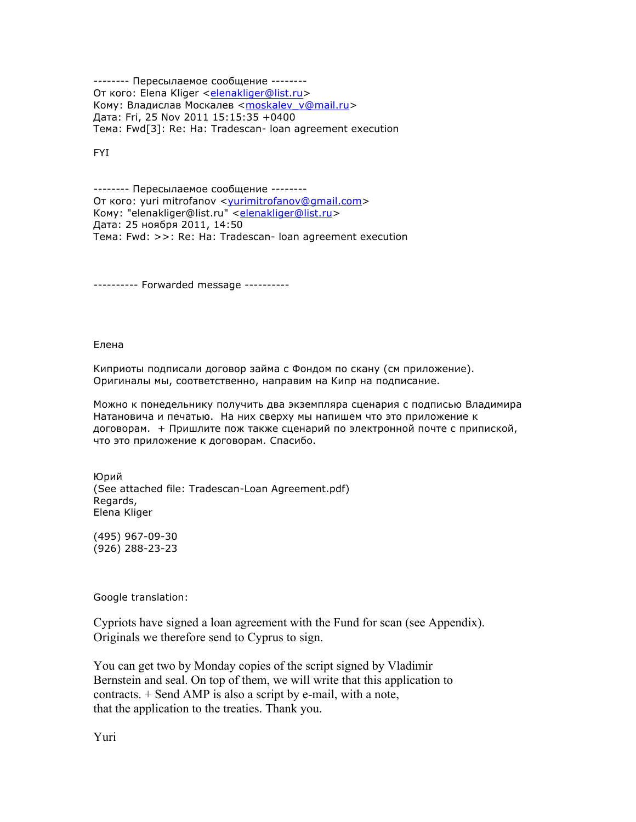-------- Пересылаемое сообщение -------- От кого: Elena Kliger <elenakliger@list.ru> Кому: Владислав Москалев <moskalev\_v@mail.ru> Дата: Fri, 25 Nov 2011 15:15:35 +0400 Тема: Fwd[3]: Re: Ha: Tradescan- loan agreement execution

FYI

-------- Пересылаемое сообщение -------- От кого: yuri mitrofanov <yurimitrofanov@gmail.com> Кому: "elenakliger@list.ru" <elenakliger@list.ru> Дата: 25 ноября 2011, 14:50 Тема: Fwd: >>: Re: Ha: Tradescan- loan agreement execution

---------- Forwarded message ----------

Елена

Киприоты подписали договор займа с Фондом по скану (см приложение). Оригиналы мы, соответственно, направим на Кипр на подписание.

Можно к понедельнику получить два экземпляра сценария с подписью Владимира Натановича и печатью. На них сверху мы напишем что это приложение к договорам. + Пришлите пож также сценарий по электронной почте с припиской, что это приложение к договорам. Спасибо.

Юрий (See attached file: Tradescan-Loan Agreement.pdf) Regards, Elena Kliger

(495) 967-09-30 (926) 288-23-23

Google translation:

Cypriots have signed a loan agreement with the Fund for scan (see Appendix). Originals we therefore send to Cyprus to sign.

You can get two by Monday copies of the script signed by Vladimir Bernstein and seal. On top of them, we will write that this application to contracts. + Send AMP is also a script by e-mail, with a note, that the application to the treaties. Thank you.

Yuri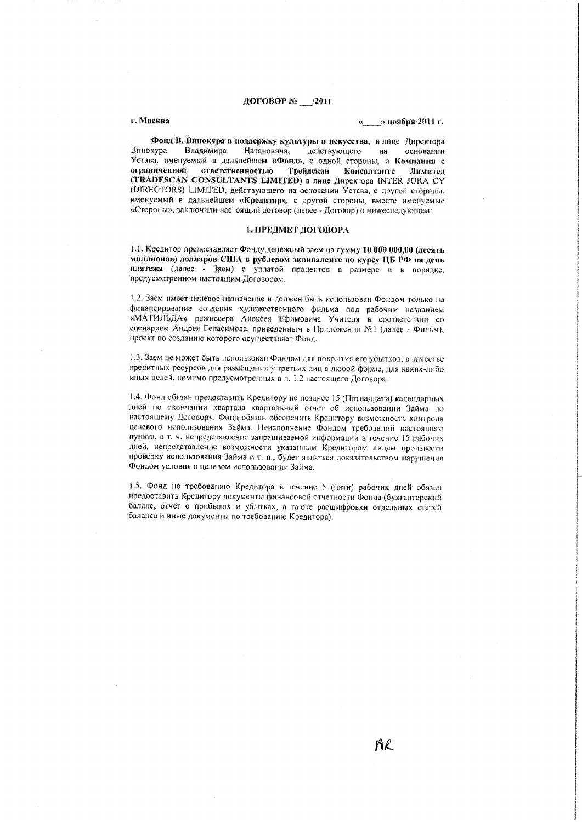### ДОГОВОР № 12011

#### г. Москва

#### » ноября 2011 г.

Фонд В. Винокура в поддержку культуры и искусства, в тице Директора Натановича, действующего Винокура Владимира основании на Устава, именуемый в дальнейшем «Фонд», с одной стороны, и Компания с ограниченной ответственностью Трейдскан Консалтанте Лимител (TRADESCAN CONSULTANTS LIMITED) в лице Директора INTER JURA CY (DIRECTORS) LIMITED, действующего на основании Устава, с другой стороны, именуемый в дальнейшем «Кредитор», с другой стороны, вместе именуемые «Стороны», заключили настоящий договор (далее - Договор) о нижеследующем:

#### 1. ПРЕДМЕТ ДОГОВОРА

1.1. Кредитор предоставляет Фонду денежный заем на сумму 10 000 000,00 (десять миллионов) долларов США в рублевом эквиваленте по курсу ЦБ РФ на день платежа (далее - Заем) с уплатой процентов в размере и в порядке, предусмотренном настоящим Договором.

1.2. Заем имеет целевое назначение и должен быть использован Фондом только на финансирование создания художественного фильма под рабочим названием «МАТИЛЬДА» режиссера Алексея Ефимовича Учителя в соответствии со сценарием Андрея Геласимова, приведенным в Приложении №1 (далее - Фильм). проект по созданию которого осуществляет Фонд.

1.3. Заем не может быть использован Фондом для покрытия его убытков, в качестве кредитных ресурсов для размещения у третьих лиц в любой форме, для каких-либо иных целей, помимо предусмотренных в п. 1.2 настоящего Договора.

1.4. Фонд обязан предоставить Кредитору не позднее 15 (Пятнадцати) календарных дней по окончании квартала квартальный отчет об использовании Займа по настоящему Договору. Фонд обязан обеспечить Кредитору возможность контроля ценевого использования Займа. Неисполнение Фондом требований настоящего пункта, в т. ч. непредставление запрациваемой информации в течение 15 рабочих дней, непредставление возможности указанным Кредитором лицам произвести проверку использования Займа и т. п., будет являться доказательством нарушения Фондом условия о целевом использовании Займа.

1.5. Фонд по требованию Кредитора в течение 5 (пяти) рабочих дней обязан предоставить Кредитору документы финансовой отчетности Фонда (бухгалтерский баланс, отчёт о прибылях и убытках, а также расшифровки отдельных статей баланса и иные документы по требованию Кредитора).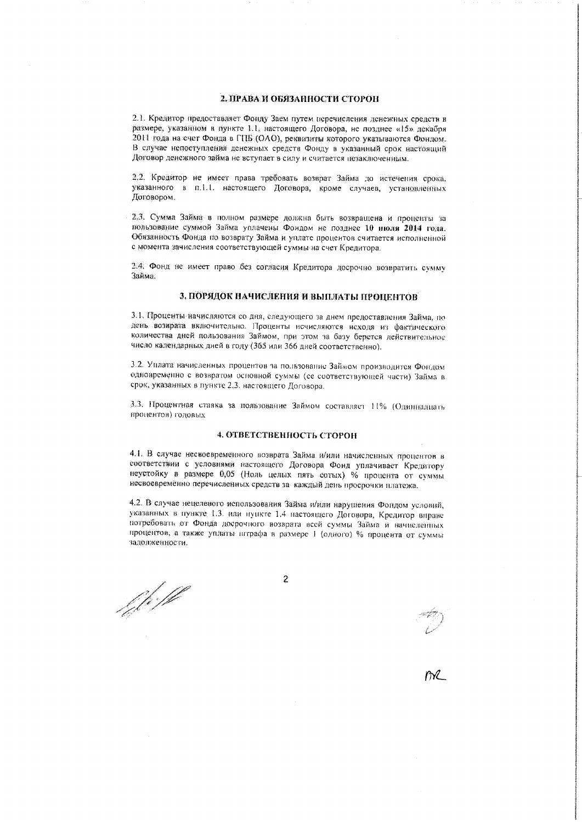## 2. ПРАВА И ОБЯЗАННОСТИ СТОРОН

2.1. Кредитор предоставляет Фонду Заем путем перечисления денежных средств в размере, указанном в пункте 1.1, настоящего Договора, не позднее «15» декабря 2011 года на счет Фонда в ГПБ (ОАО), реквизиты которого указываются Фондом. В случае непоступления денежных средств Фонду в указанный срок настоящий Договор денежного займа не вступает в силу и считается незаключенным.

2.2. Кредитор не имеет права требовать возврат Займа до истечения срока, указанного в п.1.1. настоящего Договора, кроме случаев, установленных Договором.

2.3. Сумма Займа в полном размере должна быть возвращена и проценты за пользование суммой Займа уплачены Фондом не позднее 10 июля 2014 года. Обязанность Фонда по возврату Займа и уплате процентов считается исполненной с момента зачисления соответствующей суммы на счет Кредитора.

2.4. Фонд не имеет право без согласия Кредитора досрочно возвратить сумму ใกล้พละ

### 3. ПОРЯДОК НАЧИСЛЕНИЯ И ВЫПЛАТЫ ПРОПЕНТОВ

3.1. Проценты начисляются со дня, следующего за днем предоставления Займа, по день возврата включительно. Проценты исчисляются исходя из фактического количества дней пользования Займом, при этом за базу берется действительное число календарных дней в году (365 или 366 дней соответственно).

3.2. Уплата начисленных процентов за полктование Займом производится Фондом одновременно с возвратом основной суммы (ее соответствующей части) Займа в срок, указанных в пункте 2.3. настоящего Договора.

3.3. Процентная ставка за пользование Займом составляет 11% (Одинналцать процентов) годовых

# 4. ОТВЕТСТВЕННОСТЬ СТОРОН

4.1. В случае нескоевременного возврата Займа и/или начисленных процентов в соответствии с условиями настоящего Договора Фонд уплачивает Кредитору неустойку в размере 0,05 (Ноль целых пять сотых) % процента от суммы несвоевременно перечисленных средств за каждый день просрочки платежа.

4.2. В случае нецелевого использования Займа и/или нарушения Фондом условий, указанных в пункте 1.3 или пункте 1.4 настоящего Договора, Кредитор вираве потребовать от Фонда досрочного возврата всей суммы Займа и начисленных процентов, а также уплаты штрафа в размере 1 (одного) % процента от суммы заяолженности.

f fr:ff

 $\overline{2}$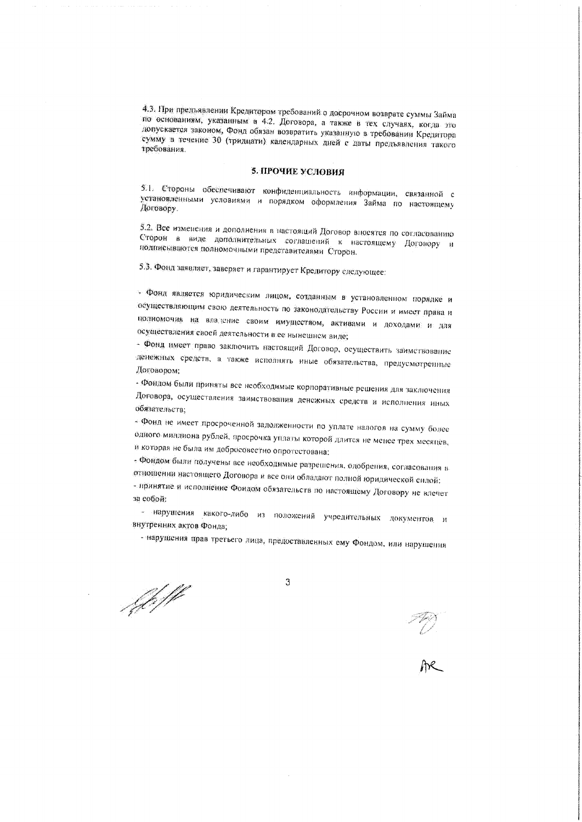4.3. При предъявлении Кредитором требований о досрочном возврате суммы Займа по основаниям, указанным в 4.2. Договора, а также в тех случаях, когда это допускается законом, Фонд обязан возвратить указанную в требовании Кредитора сумму в течение 30 (тридцати) календарных дней с даты предъявления такого требования.

#### 5. ПРОЧИЕ УСЛОВИЯ

5.1. Стороны обеспечивают конфиденциальность информации, связанной с установленными условиями и порядком оформления Займа по настоящему Договору.

5.2. Все изменения и дополнения в настоящий Договор впосятся по согласованию Сторон в виде дополнительных соглашений к настоящему Договору и подписываются полномочными представителями Сторон.

5.3. Фонд заявляет, заверяет и гарантирует Кредитору следующее:

- Фонд является юридическим лицом, созданным в установленном порядке и осуществляющим свою деятельность по законодательству России и имеет права и полномочия на владение своим имуществом, активами и доходами и для осуществления своей деятельности в ее нынешном виде;

- Фонд имеет право заключить настоящий Договор, осуществить заимствование денежных средств, а также исполнять иные обязательства, предусмотренные Договором;

- Фондом были приняты все необходимые корпоративные решения для заключения Договора, осуществления заимствования денежных средств и исполнения иных обязательств:

- Фонд не имеет просроченной задолженности по уплате налогов на сумму более одного миллиона рублей, просрочка уплаты которой длится не менее трех месяцев, и которая не была им добросовестно опротестована:

- Фондом были получены все необходимые разрешения, одобрения, согласования в отношении настоящего Договора и все они обладают полной юридической силой: - принятие и исполнение Фондом обязательств по настоящему Договору не влечет

за собой:

- нарушения какого-либо из положений учредительных документов и внутренних актов Фонда,

- нарушения прав третьего лица, предоставленных ему Фондом, или нарушения

fell

3

PC.<br>AR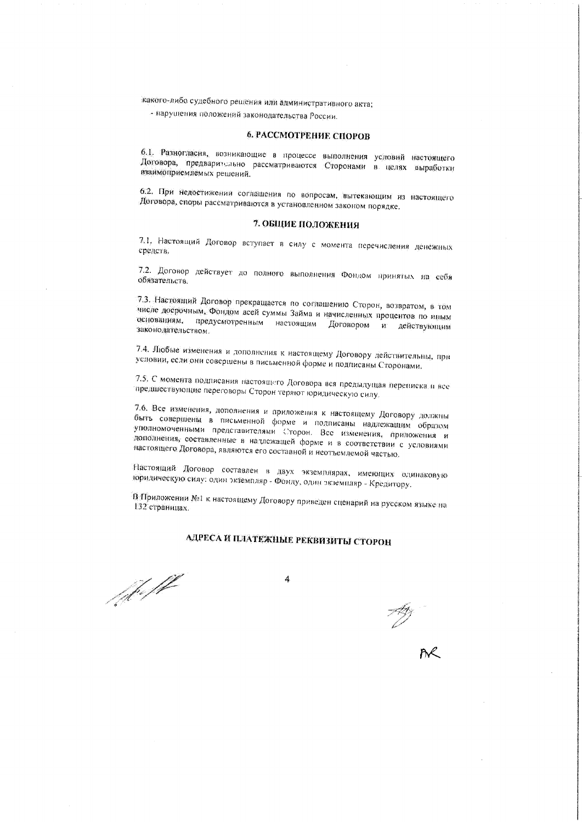какого-либо судебного решения или административного акта;

- нарушения положений законодательства России.

## 6. РАССМОТРЕНИЕ СПОРОВ

6.1. Разногласия, возникающие в процессе выполнения условий настоящего Договора, предварительно рассматриваются Сторонами в целях выработки взаимоприемлемых решений.

6.2. При недостижения соглашения по вопросам, вытекающим из настоящего Договора, споры рассматриваются в установленном законом порядке.

## 7. ОБЩИЕ ПОЛОЖЕНИЯ

7.1. Настоящий Договор вступает в силу с момента перечисления денежных средств.

7.2. Договор действует до полного выполнения Фондом принятых на себя обязательств.

7.3. Настоящий Договор прекращается по соглашению Сторон, возвратом, в том числе досрочным, Фондом всей суммы Займа и начисленных процентов по иным основаниям, предусмотренным настоящим Договором и действующим законодательством.

7.4. Любые изменения и дополнения к настоящему Договору действительны, при условии, если они совершены в письменной форме и подписаны Сторонами.

7.5. С момента подписания настоящего Договора вся предыдущая переписка и все предшествующие переговоры Сторон теряют юридическую силу.

7.6. Все изменения, дополнения и приложения к настоящему Договору должны быть совершены в письменной форме и полписаны надлежащим образом уполномоченными представителями Сторон. Все изменения, приложения и дополнения, составленные в надлежащей форме и в соответствии с условиями настоящего Договора, являются его составной и неотъемлемой частью.

Настоящий Договор составлен в двух экземплярах, имеющих одинаковую юрилическую силу: один экземпляр - Фонду, один экземпляр - Кредитору.

В Приложении №1 к настоящему Договору приведен сценарий на русском языке на 132 страницах.

# АДРЕСА И ПЛАТЕЖНЫЕ РЕКВИЗИТЫ СТОРОН

f<sub>il</sub>e ff

 $\boldsymbol{A}$ 

 $\frac{1}{2}$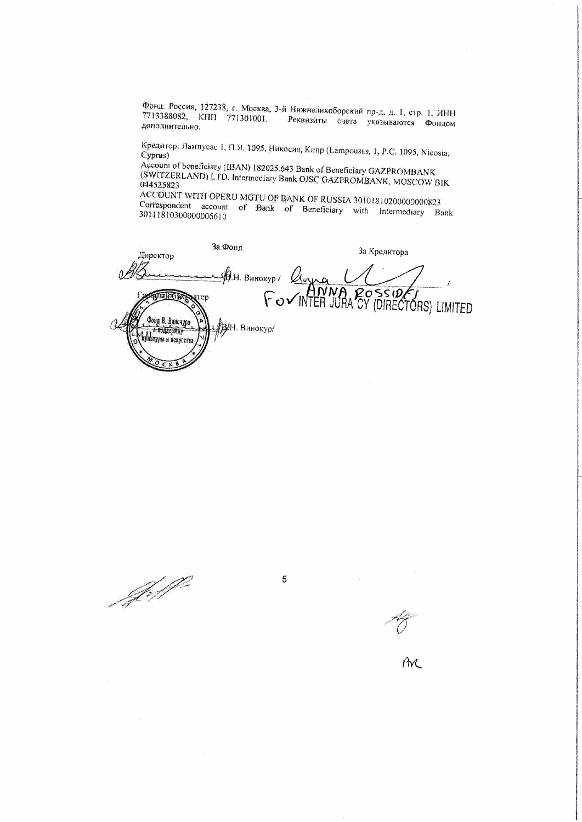Фонд: Россия, 127238, г. Москва, 3-й Нижнелихоборский пр-д, д. Т. стр. 1, ИНН 7713388082, KHII 771301001. Реквизиты счета указываются Фондом дополнительно.

Кредитор: Лампусас 1, П.Я. 1095, Никосия, Кипр (Lampousas, 1, Р.С. 1095, Nicosia, Cyprus)

Account of beneficiary (IBAN) 182025.643 Bank of Beneficiary GAZPROMBANK (SWITZERLAND) LTD. Intermediary Bank OJSC GAZPROMBANK, MOSCOW BIK 044525823

ACCOUNT WITH OPERU MGTU OF BANK OF RUSSIA 30101810200000000823 Correspondent account of Bank of Beneficiary with Intermediary Bank 30111810300000006610

За Фонд За Кредитора Директор  $\bigcirc$  H. BHHOKYP /  $\bigcirc$   $\bigcirc$  $\Delta$ FOVINTER JURA CY (DIRECTORS) LIMITED **TROSILEIR** rren Фонд В. Винокура **ДАН.** Винокур/ d nodaepiiry Да полицение.<br>Упътуры и некусства

 $\overline{5}$ 

Joffe

 $\hat{M}$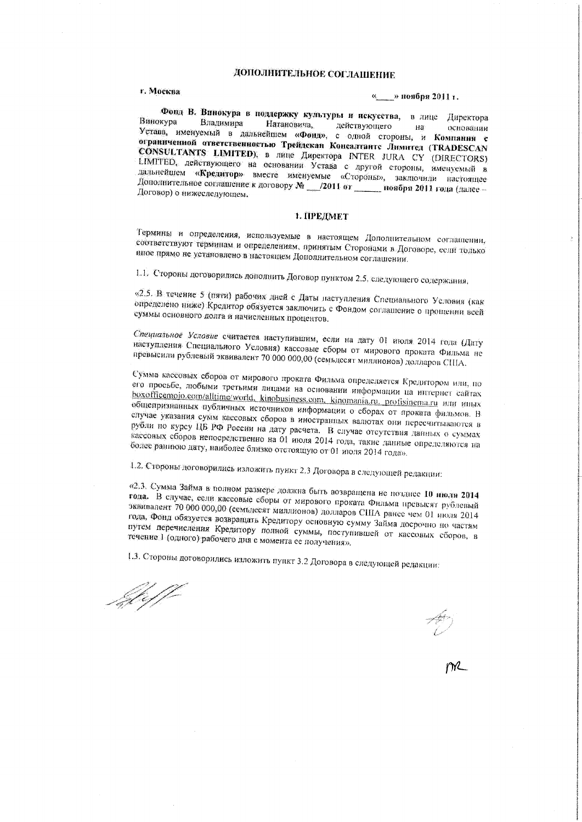# ДОПОЛНИТЕЛЬНОЕ СОГЛАШЕНИЕ

## г. Москва

#### « » ноября 2011 г.

ż

Фонд В. Винокура в поддержку культуры и искусства, в лице Директора Винокура Владимира Натановича, действующего  $AB$ Устава, именуемый в дальнейшем «Фонд», с одной стороны, и Компания с основании ограниченной ответственностью Трейдскан Консалтантс Лимитед (TRADESCAN CONSULTANTS LIMITED), в лице Директора INTER JURA CY (DIRECTORS) LIMITED, действующего на основании Устава с другой стороны, именуемый в дальнейшем «Кредитор» вместе именуемые «Стороны», заключили настоящее Дополнительное соглашение к договору № 2011 от \_\_\_\_ ноября 2011 года (далее -Договор) о нижеследующем.

#### 1. ПРЕДМЕТ

Термины и определения, используемые в настоящем Дополнительном соглашении, соответствуют терминам и определениям, принятым Сторонами в Договоре, если только нное прямо не установлено в настоящем Дополнительном соглашении.

1.1. Стороны договорились дополнить Договор пунктом 2.5, следующего содержания,

«2.5. В течение 5 (пяти) рабочих дней с Даты наступления Специального Условия (как определено ниже) Кредитор обязуется заключить с Фондом соглашение о прощении всей суммы основного долга и начисленных процентов.

Специальное Условие считается наступившим, если на дату 01 июля 2014 года (Дату наступления Специального Условия) кассовые сборы от мирового проката Фильма не превысили рублевый эквивалент 70 000 000,00 (семьдесят миллионов) долларов США.

Сумма кассовых сборов от мирового проката Фильма определяется Кредитором или, по его просьбе, любыми третьими лицами на основании информации на интернет сайтах boxofficemojo.com/alltime/world, kinobusiness.com, kinomania.ru, profisinema.ru или иных общепризнанных публичных источников информации о сборах от проката фильмов. В случае указания сумм кассовых сборов в иностранных валютах они пересчитываются в рубли по курсу ЦБ РФ России на дату расчета. В случае отсутствия данных о суммах кассоных сборов непосредственно на 01 июля 2014 года, такие данные определяются на более раннюю дату, наиболее близко отстоящую от 01 июля 2014 года».

1.2. Стороны договорились изложить пункт 2.3 Договора в следующей редакции:

«2.3. Сумма Займа в полном размере должна быть возвращена не позднее 10 нюля 2014 года. В случае, если кассовые сборы от мирового проката Фильма превысят рублевый эквивалент 70 000 000,00 (семьдесят миллионов) долларов США ранее чем 01 июля 2014 года, Фонд обязуется возвращать Кредитору основную сумму Займа досрочно по частям путем перечисления Кредитору полной суммы, поступившей от кассовых сборов, в течение 1 (одного) рабочего дня с момента ее получения».

1.3. Стороны договорились изложить пункт 3.2 Договора в следующей редакции:

JAF<br>1

 $\overline{\mathcal{D}}$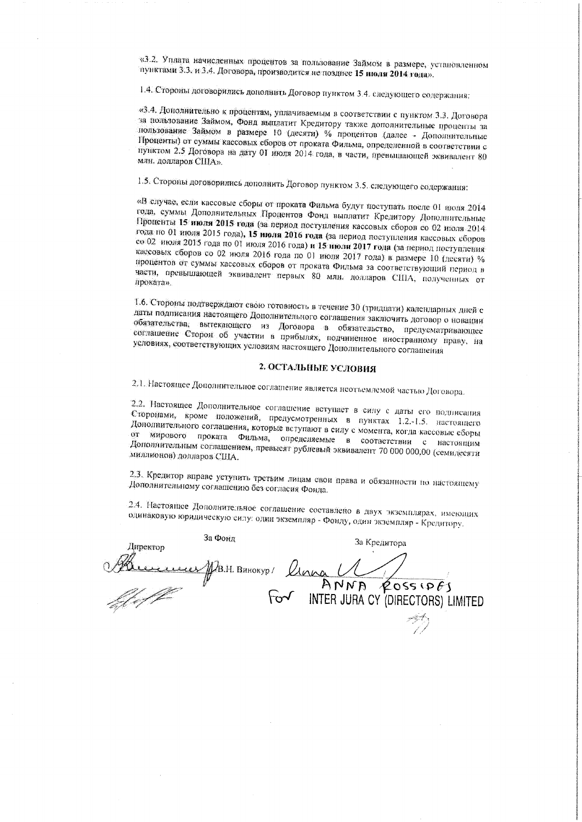«3.2. Уплата начисленных процентов за пользование Займом в размере, установленном пунктами 3.3, и 3.4. Договора, производится не позднее 15 июли 2014 года».

1.4. Стороны договорились дополнить Договор пунктом 3.4. следующего содержания;

«З.4. Дополнительно к процентам, уплачиваемым в соответствии с пунктом 3.3. Договора за пользование Займом, Фонд выплатит Кредитору также дополнительные проценты за пользование Займом в размере 10 (десяти) % процентов (далее - Дополнительные Проценты) от суммы кассовых сборов от проката Фильма, определенной в соответствии с пунктом 2.5 Договора на дату 01 июля 2014 года, в части, превышающей эквивалент 80 млн. долларов США».

1.5. Стороны договорились дополнить Договор пунктом 3.5. следующего содержания:

«В случае, если кассовые сборы от проката Фильма будут поступать после 01 июля 2014 года, суммы Дополнительных Процентов Фонд выплатит Кредитору Дополнительные Проценты 15 июля 2015 года (за период поступления кассовых сборов со 02 июля 2014 года по 01 июля 2015 года), 15 июля 2016 года (за период поступления кассовых сборов со 02 июля 2015 года по 01 июля 2016 года) и 15 июля 2017 года (за период поступления кассовых сборов со 02 июля 2016 года по 01 июля 2017 года) в размере 10 (лесяти) % процентов от суммы кассовых сборов от проката Фильма за соответствующий период в части, превышающей эквивалент первых 80 млн. долларов США, полученных от проката».

1.6. Стороны подтверждают свою готовность в течение 30 (тридцати) календарных дней с даты подписания настоящего Дополнительного соглашения заключить договор о новации обязательства, вытекающего из Договора в обязательство, предусматривающее соглашение Сторон об участии в прибылях, подчиненное иностранному праву, на условиях, соответствующих условиям настоящего Дополнительного соглашения

## 2. ОСТАЛЬНЫЕ УСЛОВИЯ

2.1. Настоящее Дополнительное соглашение является неотъемлемой частью Договора.

2.2. Настоящее Дополнительное соглашение вступает в силу с даты его подписания Сторонами, кроме положений, предусмотренных в пунктах 1.2.-1.5. настоящего Дополнительного соглашения, которые вступают в силу с момента, когда кассовые сборы от мирового проката Фильма, определяемые в соответствии с настоящим Дополнительным соглашением, превысят рублевый эквивалент 70 000 000,00 (семидесяти миллионов) долларов США.

2.3. Кредитор вправе уступить третьим лицам свои права и обязанности по настоящему Дополнительному соглашению без согласия Фонда.

2.4. Настоящее Дополнительное соглашение составлено в двух экземплярах, имеющих одинаковую юридическую силу: один экземпляр - Фонду, один экземпляр - Кредитору.

| За Фонд<br>Директор        |       | За Кредитора                      |
|----------------------------|-------|-----------------------------------|
| <b>LELLY AB.H. BUHOKYD</b> | Klana |                                   |
|                            |       | ANNA<br>20551065                  |
|                            | سدعا  | INTER JURA CY (DIRECTORS) LIMITED |
|                            |       |                                   |